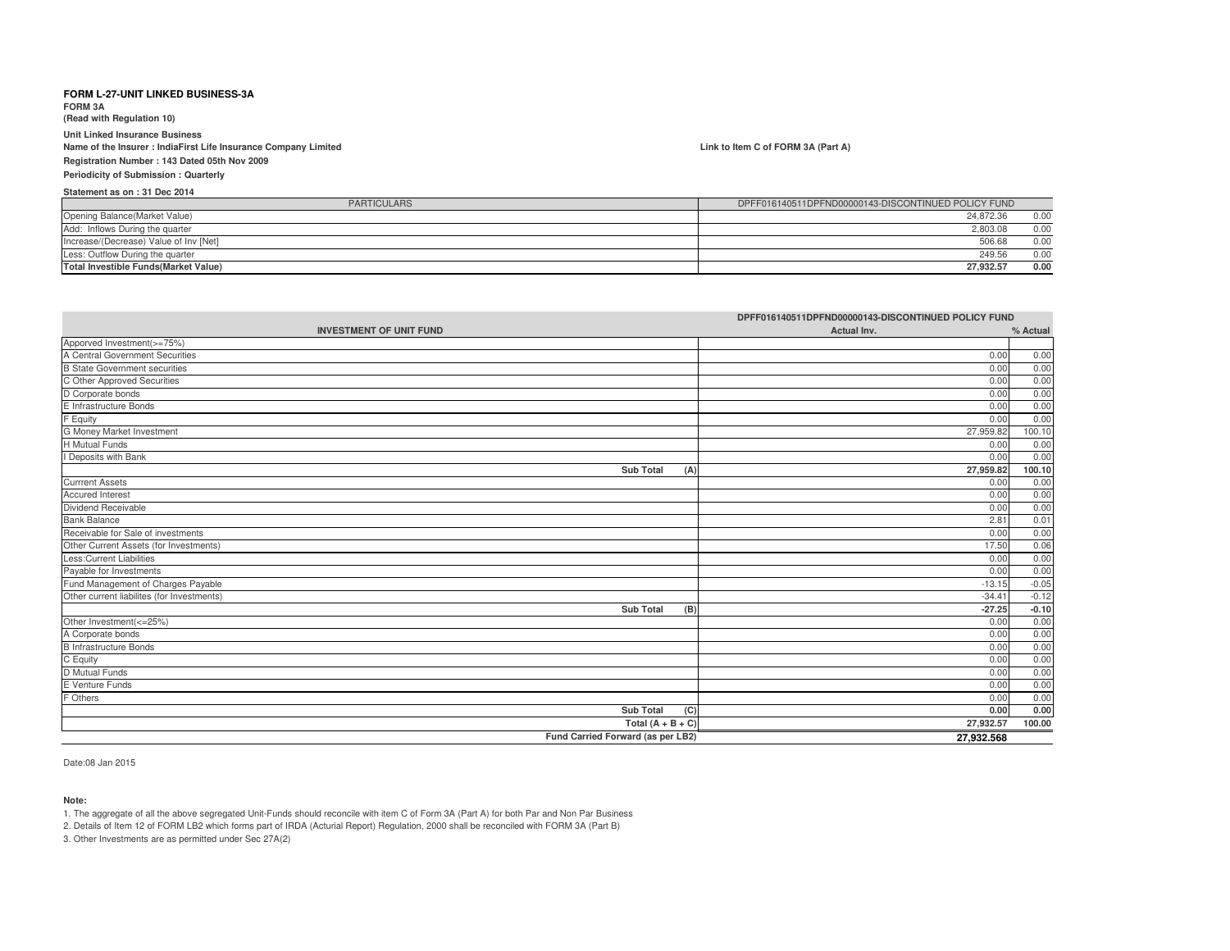**FORM 3A**

**(Read with Regulation 10)**

**Unit Linked Insurance Business Name of the Insurer : IndiaFirst Life Insurance Company LimitedRegistration Number : 143 Dated 05th Nov 2009**

### **Periodicity of Submission : Quarterly**

**Statement as on : 31 Dec 2014**

| <b>PARTICULARS</b>                           | DPFF016140511DPFND00000143-DISCONTINUED POLICY FUND |      |
|----------------------------------------------|-----------------------------------------------------|------|
| Opening Balance(Market Value)                | 24.872.36                                           | 0.00 |
| Add: Inflows During the quarter              | 2.803.08                                            | 0.00 |
| Increase/(Decrease) Value of Inv [Net]       | 506.68                                              | 0.00 |
| Less: Outflow During the quarter             | 249.56                                              | 0.00 |
| <b>Total Investible Funds (Market Value)</b> | 27.932.57                                           | 0.00 |

|                                                                        | DPFF016140511DPFND00000143-DISCONTINUED POLICY FUND |          |
|------------------------------------------------------------------------|-----------------------------------------------------|----------|
| <b>INVESTMENT OF UNIT FUND</b>                                         | Actual Inv.                                         | % Actual |
| Apporved Investment(>=75%)                                             |                                                     |          |
| A Central Government Securities                                        | 0.00                                                | 0.00     |
| <b>B State Government securities</b>                                   | 0.00                                                | 0.00     |
| C Other Approved Securities                                            | 0.00                                                | 0.00     |
| D Corporate bonds                                                      | 0.00                                                | 0.00     |
| E Infrastructure Bonds                                                 | 0.00                                                | 0.00     |
| F Equity                                                               | 0.00                                                | 0.00     |
| G Money Market Investment                                              | 27,959.82                                           | 100.10   |
| H Mutual Funds                                                         | 0.00                                                | 0.00     |
| I Deposits with Bank                                                   | 0.00                                                | 0.00     |
| <b>Sub Total</b><br>(A)                                                | 27,959.82                                           | 100.10   |
| <b>Currrent Assets</b>                                                 | 0.00                                                | 0.00     |
| Accured Interest                                                       | 0.00                                                | 0.00     |
| Dividend Receivable                                                    | 0.00                                                | 0.00     |
| <b>Bank Balance</b>                                                    | 2.81                                                | 0.01     |
| Receivable for Sale of investments                                     | 0.00                                                | 0.00     |
| Other Current Assets (for Investments)                                 | 17.50                                               | 0.06     |
| Less:Current Liabilities                                               | 0.00                                                | 0.00     |
| Payable for Investments                                                | 0.00                                                | 0.00     |
| Fund Management of Charges Payable                                     | $-13.15$                                            | $-0.05$  |
| Other current liabilites (for Investments)                             | $-34.41$                                            | $-0.12$  |
| <b>Sub Total</b><br>(B)                                                | $-27.25$                                            | $-0.10$  |
| Other Investment(<=25%)<br>A Corporate bonds<br>B Infrastructure Bonds | 0.00                                                | 0.00     |
|                                                                        | 0.00                                                | 0.00     |
|                                                                        | 0.00                                                | 0.00     |
| C Equity                                                               | 0.00                                                | 0.00     |
| D Mutual Funds                                                         | 0.00                                                | 0.00     |
| E Venture Funds                                                        | 0.00                                                | 0.00     |
| F Others                                                               | 0.00                                                | 0.00     |
| <b>Sub Total</b><br>(C)                                                | 0.00                                                | 0.00     |
| Total $(A + B + C)$                                                    | 27,932.57                                           | 100.00   |
| Fund Carried Forward (as per LB2)                                      | 27.932.568                                          |          |

Date:08 Jan 2015

**Note:**

1. The aggregate of all the above segregated Unit-Funds should reconcile with item C of Form 3A (Part A) for both Par and Non Par Business

2. Details of Item 12 of FORM LB2 which forms part of IRDA (Acturial Report) Regulation, 2000 shall be reconciled with FORM 3A (Part B)

3. Other Investments are as permitted under Sec 27A(2)

#### **Link to Item C of FORM 3A (Part A)**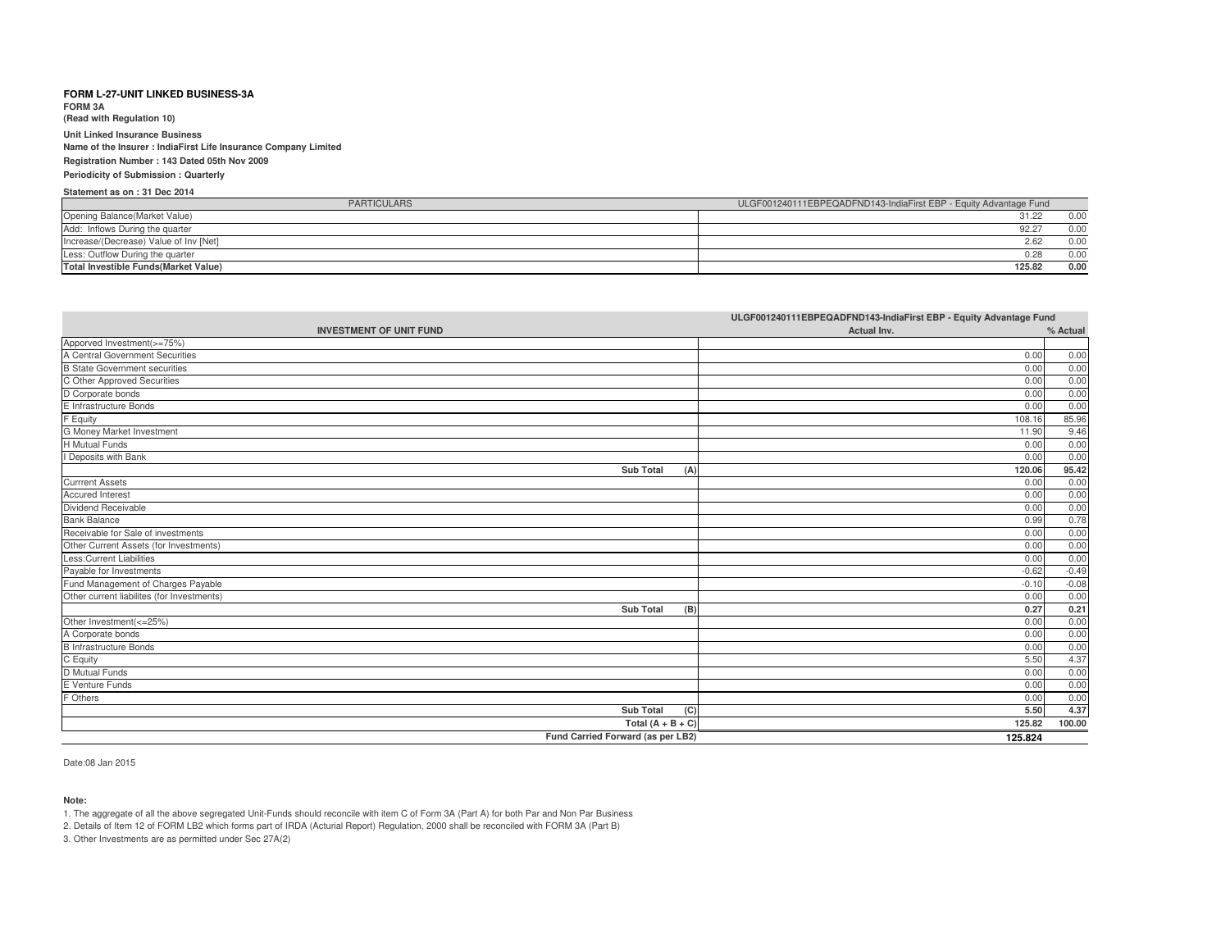**FORM 3A(Read with Regulation 10)**

**Unit Linked Insurance Business**

 **Name of the Insurer : IndiaFirst Life Insurance Company LimitedRegistration Number : 143 Dated 05th Nov 2009**

### **Periodicity of Submission : Quarterly**

### **Statement as on : 31 Dec 2014**

| PARTICULARS                                  | ULGF001240111EBPEQADFND143-IndiaFirst EBP - Equity Advantage Fund |
|----------------------------------------------|-------------------------------------------------------------------|
| Opening Balance(Market Value)                | 31.22<br>0.00                                                     |
| Add: Inflows During the quarter              | 92.27<br>0.00                                                     |
| Increase/(Decrease) Value of Inv [Net]       | 0.00<br>2.62                                                      |
| Less: Outflow During the quarter             | 0.00<br>0.28                                                      |
| <b>Total Investible Funds (Market Value)</b> | 0.00<br>125.82                                                    |

|                                            | ULGF001240111EBPEQADFND143-IndiaFirst EBP - Equity Advantage Fund |          |
|--------------------------------------------|-------------------------------------------------------------------|----------|
| <b>INVESTMENT OF UNIT FUND</b>             | Actual Inv.                                                       | % Actual |
| Apporved Investment(>=75%)                 |                                                                   |          |
| A Central Government Securities            | 0.00                                                              | 0.00     |
| <b>B</b> State Government securities       | 0.00                                                              | 0.00     |
| C Other Approved Securities                | 0.00                                                              | 0.00     |
| D Corporate bonds                          | 0.00                                                              | 0.00     |
| E Infrastructure Bonds                     | 0.00                                                              | 0.00     |
| F Equity                                   | 108.16                                                            | 85.96    |
| G Money Market Investment                  | 11.90                                                             | 9.46     |
| <b>H</b> Mutual Funds                      | 0.00                                                              | 0.00     |
| I Deposits with Bank                       | 0.00                                                              | 0.00     |
| <b>Sub Total</b><br>(A)                    | 120.06                                                            | 95.42    |
| <b>Currrent Assets</b>                     | 0.00                                                              | 0.00     |
| <b>Accured Interest</b>                    | 0.00                                                              | 0.00     |
| Dividend Receivable                        | 0.00                                                              | 0.00     |
| <b>Bank Balance</b>                        | 0.99                                                              | 0.78     |
| Receivable for Sale of investments         | 0.00                                                              | 0.00     |
| Other Current Assets (for Investments)     | 0.00                                                              | 0.00     |
| <b>Less:Current Liabilities</b>            | 0.00                                                              | 0.00     |
| Payable for Investments                    | $-0.62$                                                           | $-0.49$  |
| Fund Management of Charges Payable         | $-0.10$                                                           | $-0.08$  |
| Other current liabilites (for Investments) | 0.00                                                              | 0.00     |
| <b>Sub Total</b><br>(B)                    | 0.27                                                              | 0.21     |
| Other Investment(<=25%)                    | 0.00                                                              | 0.00     |
| A Corporate bonds                          | 0.00                                                              | 0.00     |
| <b>B</b> Infrastructure Bonds              | 0.00                                                              | 0.00     |
| C Equity                                   | 5.50                                                              | 4.37     |
| D Mutual Funds                             | 0.00                                                              | 0.00     |
| E Venture Funds                            | 0.00                                                              | 0.00     |
| F Others                                   | 0.00                                                              | 0.00     |
| <b>Sub Total</b><br>(C)                    | 5.50                                                              | 4.37     |
| Total $(A + B + C)$                        | 125.82                                                            | 100.00   |
| Fund Carried Forward (as per LB2)          | 125.824                                                           |          |

Date:08 Jan 2015

### **Note:**

1. The aggregate of all the above segregated Unit-Funds should reconcile with item C of Form 3A (Part A) for both Par and Non Par Business

2. Details of Item 12 of FORM LB2 which forms part of IRDA (Acturial Report) Regulation, 2000 shall be reconciled with FORM 3A (Part B)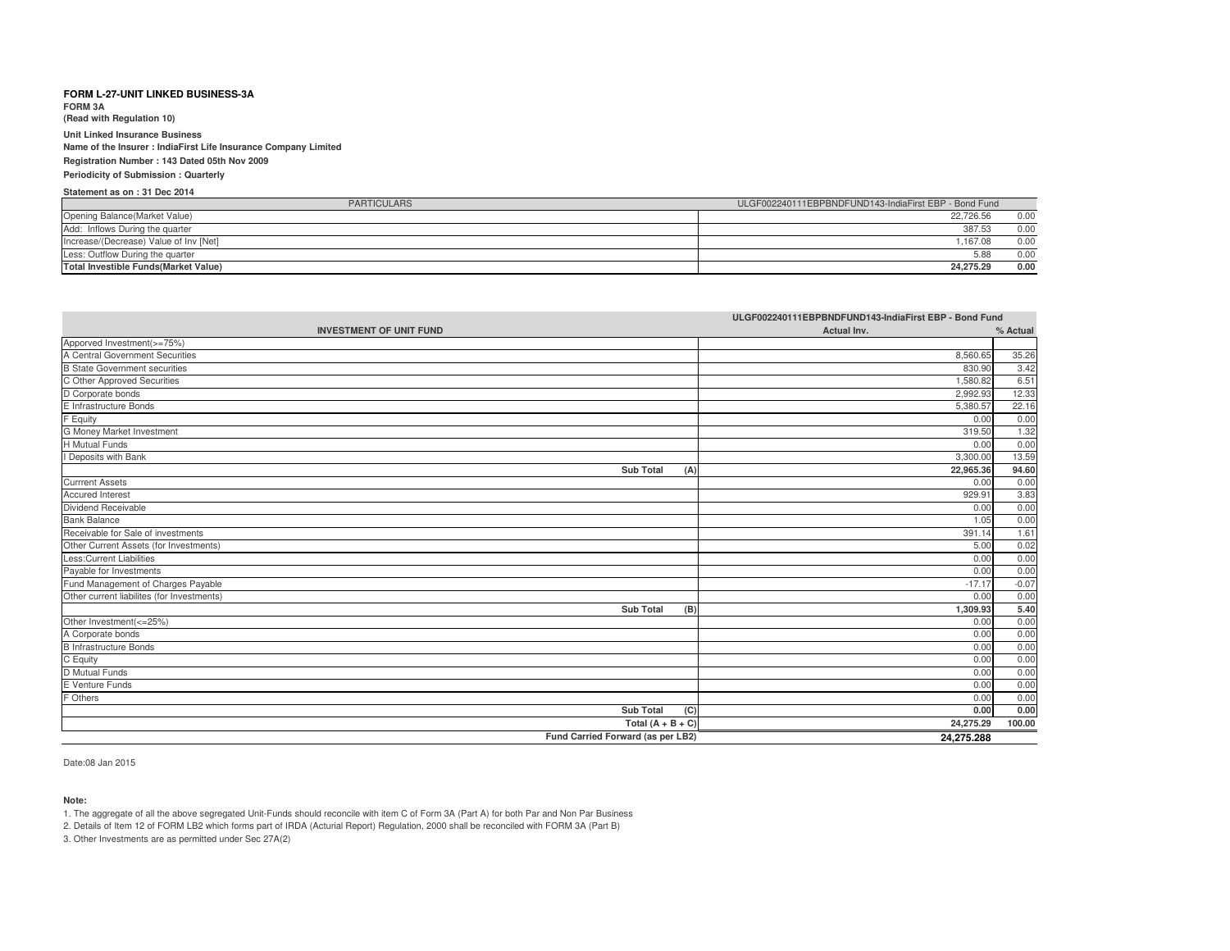**FORM 3A**

**(Read with Regulation 10)**

**Unit Linked Insurance Business Name of the Insurer : IndiaFirst Life Insurance Company LimitedRegistration Number : 143 Dated 05th Nov 2009Periodicity of Submission : Quarterly**

## **Statement as on : 31 Dec 2014**

| <b>PARTICULARS</b>                           | ULGF002240111EBPBNDFUND143-IndiaFirst EBP - Bond Fund |      |
|----------------------------------------------|-------------------------------------------------------|------|
| Opening Balance (Market Value)               | 22.726.56                                             | 0.00 |
| Add: Inflows During the quarter              | 387.53                                                | 0.00 |
| Increase/(Decrease) Value of Inv [Net]       | .167.08                                               | 0.00 |
| Less: Outflow During the quarter             | 5.88                                                  | 0.00 |
| <b>Total Investible Funds (Market Value)</b> | 24.275.29                                             | 0.00 |

| ULGF002240111EBPBNDFUND143-IndiaFirst EBP - Bond Fund |             |          |
|-------------------------------------------------------|-------------|----------|
| <b>INVESTMENT OF UNIT FUND</b>                        | Actual Inv. | % Actual |
| Apporved Investment(>=75%)                            |             |          |
| A Central Government Securities                       | 8,560.65    | 35.26    |
| <b>B State Government securities</b>                  | 830.90      | 3.42     |
| C Other Approved Securities                           | 1,580.82    | 6.51     |
| D Corporate bonds                                     | 2.992.93    | 12.33    |
| E Infrastructure Bonds                                | 5,380.57    | 22.16    |
| F Equity                                              | 0.00        | 0.00     |
| G Money Market Investment                             | 319.50      | 1.32     |
| <b>H</b> Mutual Funds                                 | 0.00        | 0.00     |
| I Deposits with Bank                                  | 3,300.00    | 13.59    |
| <b>Sub Total</b><br>(A)                               | 22,965.36   | 94.60    |
| <b>Currrent Assets</b>                                | 0.00        | 0.00     |
| <b>Accured Interest</b>                               | 929.91      | 3.83     |
| Dividend Receivable                                   | 0.00        | 0.00     |
| <b>Bank Balance</b>                                   | 1.05        | 0.00     |
| Receivable for Sale of investments                    | 391.14      | 1.61     |
| Other Current Assets (for Investments)                | 5.00        | 0.02     |
| <b>Less:Current Liabilities</b>                       | 0.00        | 0.00     |
| Payable for Investments                               | 0.00        | 0.00     |
| Fund Management of Charges Payable                    | $-17.17$    | $-0.07$  |
| Other current liabilites (for Investments)            | 0.00        | 0.00     |
| <b>Sub Total</b><br>(B)                               | 1.309.93    | 5.40     |
| Other Investment(<=25%)                               | 0.00        | 0.00     |
| A Corporate bonds                                     | 0.00        | 0.00     |
| <b>B Infrastructure Bonds</b>                         | 0.00        | 0.00     |
| C Equity                                              | 0.00        | 0.00     |
| D Mutual Funds                                        | 0.00        | 0.00     |
| E Venture Funds                                       | 0.00        | 0.00     |
| F Others                                              | 0.00        | 0.00     |
| <b>Sub Total</b><br>(C)                               | 0.00        | 0.00     |
| Total $(A + B + C)$                                   | 24,275.29   | 100.00   |
| Fund Carried Forward (as per LB2)                     | 24,275.288  |          |

Date:08 Jan 2015

#### **Note:**

1. The aggregate of all the above segregated Unit-Funds should reconcile with item C of Form 3A (Part A) for both Par and Non Par Business

2. Details of Item 12 of FORM LB2 which forms part of IRDA (Acturial Report) Regulation, 2000 shall be reconciled with FORM 3A (Part B)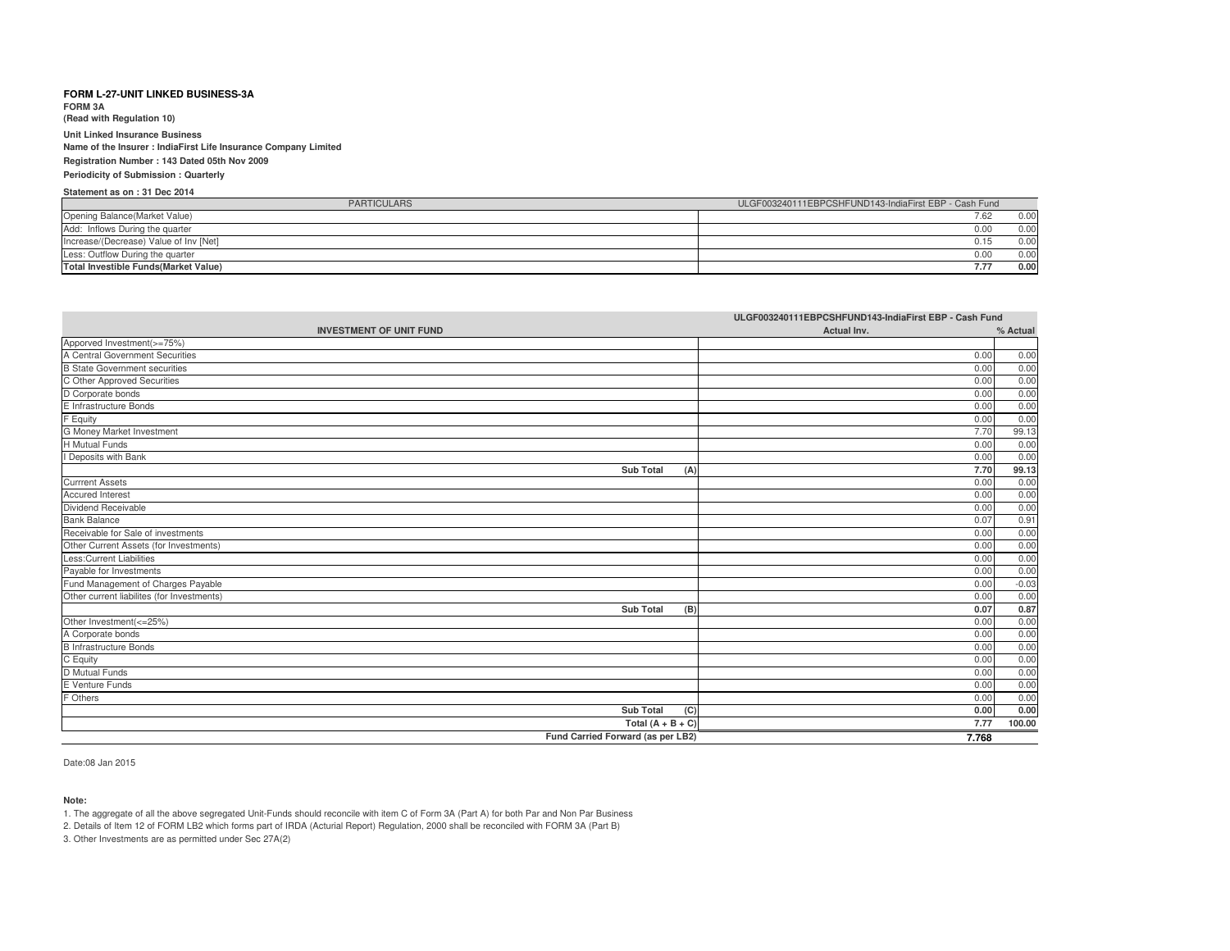**FORM 3A**

**(Read with Regulation 10)**

**Unit Linked Insurance Business Name of the Insurer : IndiaFirst Life Insurance Company LimitedRegistration Number : 143 Dated 05th Nov 2009Periodicity of Submission : Quarterly**

# **Statement as on : 31 Dec 2014**

| <b>PARTICULARS</b>                           | ULGF003240111EBPCSHFUND143-IndiaFirst EBP - Cash Fund |
|----------------------------------------------|-------------------------------------------------------|
| Opening Balance (Market Value)               | 7.62<br>0.00                                          |
| Add: Inflows During the quarter              | 0.00<br>0.00                                          |
| Increase/(Decrease) Value of Inv [Net]       | 0.00<br>0.15                                          |
| Less: Outflow During the quarter             | 0.00<br>0.00                                          |
| <b>Total Investible Funds (Market Value)</b> | 0.00<br>7.77                                          |

|                                            | ULGF003240111EBPCSHFUND143-IndiaFirst EBP - Cash Fund |          |
|--------------------------------------------|-------------------------------------------------------|----------|
| <b>INVESTMENT OF UNIT FUND</b>             | Actual Inv.                                           | % Actual |
| Apporved Investment(>=75%)                 |                                                       |          |
| A Central Government Securities            | 0.00                                                  | 0.00     |
| <b>B</b> State Government securities       | 0.00                                                  | 0.00     |
| C Other Approved Securities                | 0.00                                                  | 0.00     |
| D Corporate bonds                          | 0.00                                                  | 0.00     |
| E Infrastructure Bonds                     | 0.00                                                  | 0.00     |
| F Equity                                   | 0.00                                                  | 0.00     |
| G Money Market Investment                  | 7.70                                                  | 99.13    |
| H Mutual Funds                             | 0.00                                                  | 0.00     |
| I Deposits with Bank                       | 0.00                                                  | 0.00     |
| <b>Sub Total</b><br>(A)                    | 7.70                                                  | 99.13    |
| <b>Currrent Assets</b>                     | 0.00                                                  | 0.00     |
| <b>Accured Interest</b>                    | 0.00                                                  | 0.00     |
| Dividend Receivable                        | 0.00                                                  | 0.00     |
| <b>Bank Balance</b>                        | 0.07                                                  | 0.91     |
| Receivable for Sale of investments         | 0.00                                                  | 0.00     |
| Other Current Assets (for Investments)     | 0.00                                                  | 0.00     |
| Less: Current Liabilities                  | 0.00                                                  | 0.00     |
| Payable for Investments                    | 0.00                                                  | 0.00     |
| Fund Management of Charges Payable         | 0.00                                                  | $-0.03$  |
| Other current liabilites (for Investments) | 0.00                                                  | 0.00     |
| <b>Sub Total</b><br>(B)                    | 0.07                                                  | 0.87     |
| Other Investment(<=25%)                    | 0.00                                                  | 0.00     |
| A Corporate bonds                          | 0.00                                                  | 0.00     |
| <b>B</b> Infrastructure Bonds              | 0.00                                                  | 0.00     |
| C Equity                                   | 0.00                                                  | 0.00     |
| D Mutual Funds                             | 0.00                                                  | 0.00     |
| E Venture Funds                            | 0.00                                                  | 0.00     |
| F Others                                   | 0.00                                                  | 0.00     |
| <b>Sub Total</b><br>(C)                    | 0.00                                                  | 0.00     |
| Total $(A + B + C)$                        | 7.77                                                  | 100.00   |
| Fund Carried Forward (as per LB2)          | 7.768                                                 |          |

Date:08 Jan 2015

#### **Note:**

1. The aggregate of all the above segregated Unit-Funds should reconcile with item C of Form 3A (Part A) for both Par and Non Par Business

2. Details of Item 12 of FORM LB2 which forms part of IRDA (Acturial Report) Regulation, 2000 shall be reconciled with FORM 3A (Part B)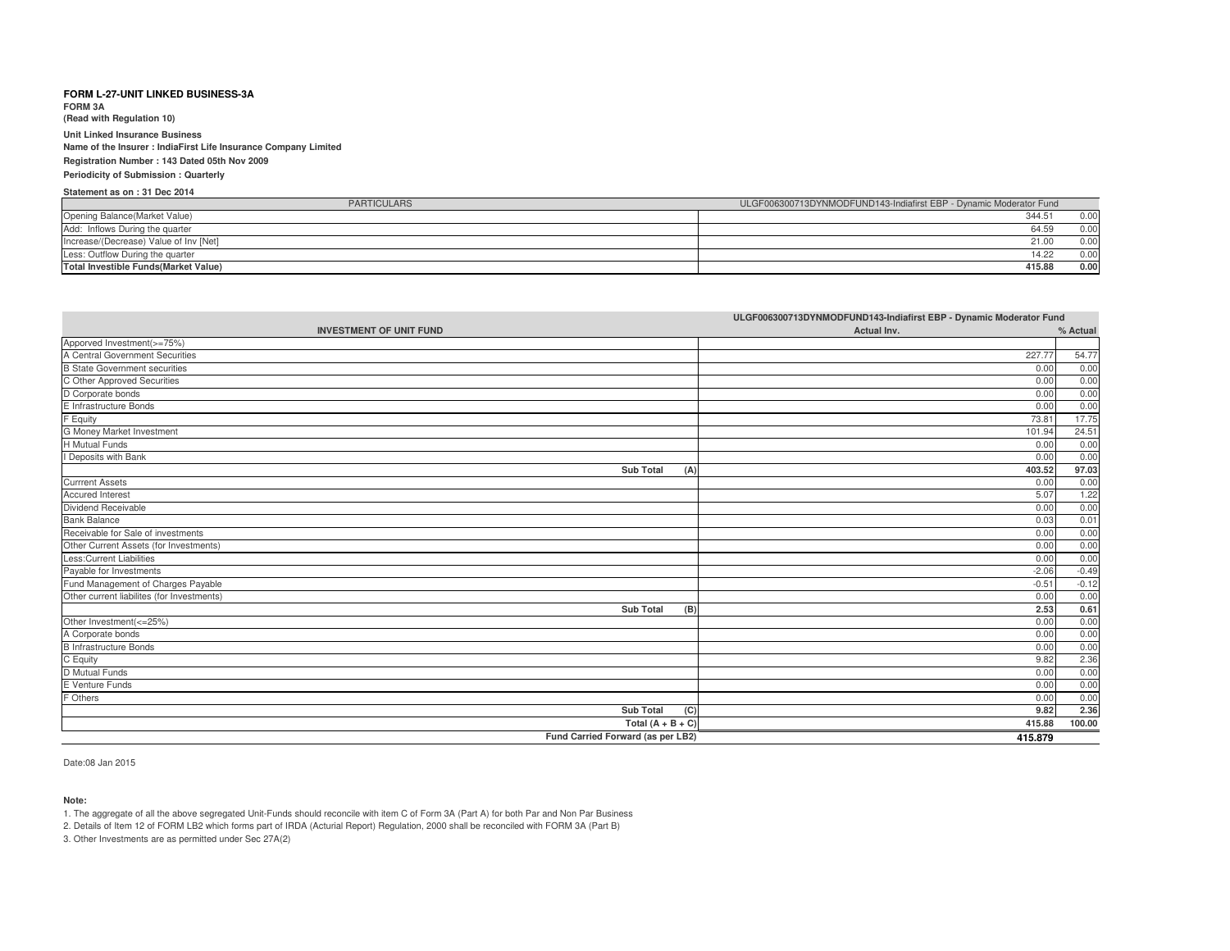**FORM 3A(Read with Regulation 10)**

**Unit Linked Insurance Business**

 **Name of the Insurer : IndiaFirst Life Insurance Company LimitedRegistration Number : 143 Dated 05th Nov 2009**

### **Periodicity of Submission : Quarterly**

**Statement as on : 31 Dec 2014**

| <b>PARTICULARS</b>                           | ULGF006300713DYNMODFUND143-Indiafirst EBP - Dynamic Moderator Fund |
|----------------------------------------------|--------------------------------------------------------------------|
| Opening Balance (Market Value)               | 0.00<br>344.5                                                      |
| Add: Inflows During the quarter              | 0.00<br>64.59                                                      |
| Increase/(Decrease) Value of Inv [Net]       | 0.00<br>21.00                                                      |
| Less: Outflow During the quarter             | 0.00<br>14.22                                                      |
| <b>Total Investible Funds (Market Value)</b> | 0.00<br>415.88                                                     |

|                                            | ULGF006300713DYNMODFUND143-Indiafirst EBP - Dynamic Moderator Fund |          |
|--------------------------------------------|--------------------------------------------------------------------|----------|
| <b>INVESTMENT OF UNIT FUND</b>             | Actual Inv.                                                        | % Actual |
| Apporved Investment(>=75%)                 |                                                                    |          |
| A Central Government Securities            | 227.77                                                             | 54.77    |
| <b>B</b> State Government securities       | 0.00                                                               | 0.00     |
| C Other Approved Securities                | 0.00                                                               | 0.00     |
| D Corporate bonds                          | 0.00                                                               | 0.00     |
| E Infrastructure Bonds                     | 0.00                                                               | 0.00     |
| F Equity                                   | 73.81                                                              | 17.75    |
| G Money Market Investment                  | 101.94                                                             | 24.51    |
| <b>H</b> Mutual Funds                      | 0.00                                                               | 0.00     |
| I Deposits with Bank                       | 0.00                                                               | 0.00     |
| <b>Sub Total</b><br>(A)                    | 403.52                                                             | 97.03    |
| <b>Currrent Assets</b>                     | 0.00                                                               | 0.00     |
| <b>Accured Interest</b>                    | 5.07                                                               | 1.22     |
| Dividend Receivable                        | 0.00                                                               | 0.00     |
| <b>Bank Balance</b>                        | 0.03                                                               | 0.01     |
| Receivable for Sale of investments         | 0.00                                                               | 0.00     |
| Other Current Assets (for Investments)     | 0.00                                                               | 0.00     |
| Less:Current Liabilities                   | 0.00                                                               | 0.00     |
| Payable for Investments                    | $-2.06$                                                            | $-0.49$  |
| Fund Management of Charges Payable         | $-0.51$                                                            | $-0.12$  |
| Other current liabilites (for Investments) | 0.00                                                               | 0.00     |
| <b>Sub Total</b><br>(B)                    | 2.53                                                               | 0.61     |
| Other Investment(<=25%)                    | 0.00                                                               | 0.00     |
| A Corporate bonds                          | 0.00                                                               | 0.00     |
| <b>B</b> Infrastructure Bonds              | 0.00                                                               | 0.00     |
| C Equity                                   | 9.82                                                               | 2.36     |
| D Mutual Funds                             | 0.00                                                               | 0.00     |
| E Venture Funds                            | 0.00                                                               | 0.00     |
| F Others                                   | 0.00                                                               | 0.00     |
| <b>Sub Total</b><br>(C)                    | 9.82                                                               | 2.36     |
| Total $(A + B + C)$                        | 415.88                                                             | 100.00   |
| Fund Carried Forward (as per LB2)          | 415.879                                                            |          |

Date:08 Jan 2015

### **Note:**

1. The aggregate of all the above segregated Unit-Funds should reconcile with item C of Form 3A (Part A) for both Par and Non Par Business

2. Details of Item 12 of FORM LB2 which forms part of IRDA (Acturial Report) Regulation, 2000 shall be reconciled with FORM 3A (Part B)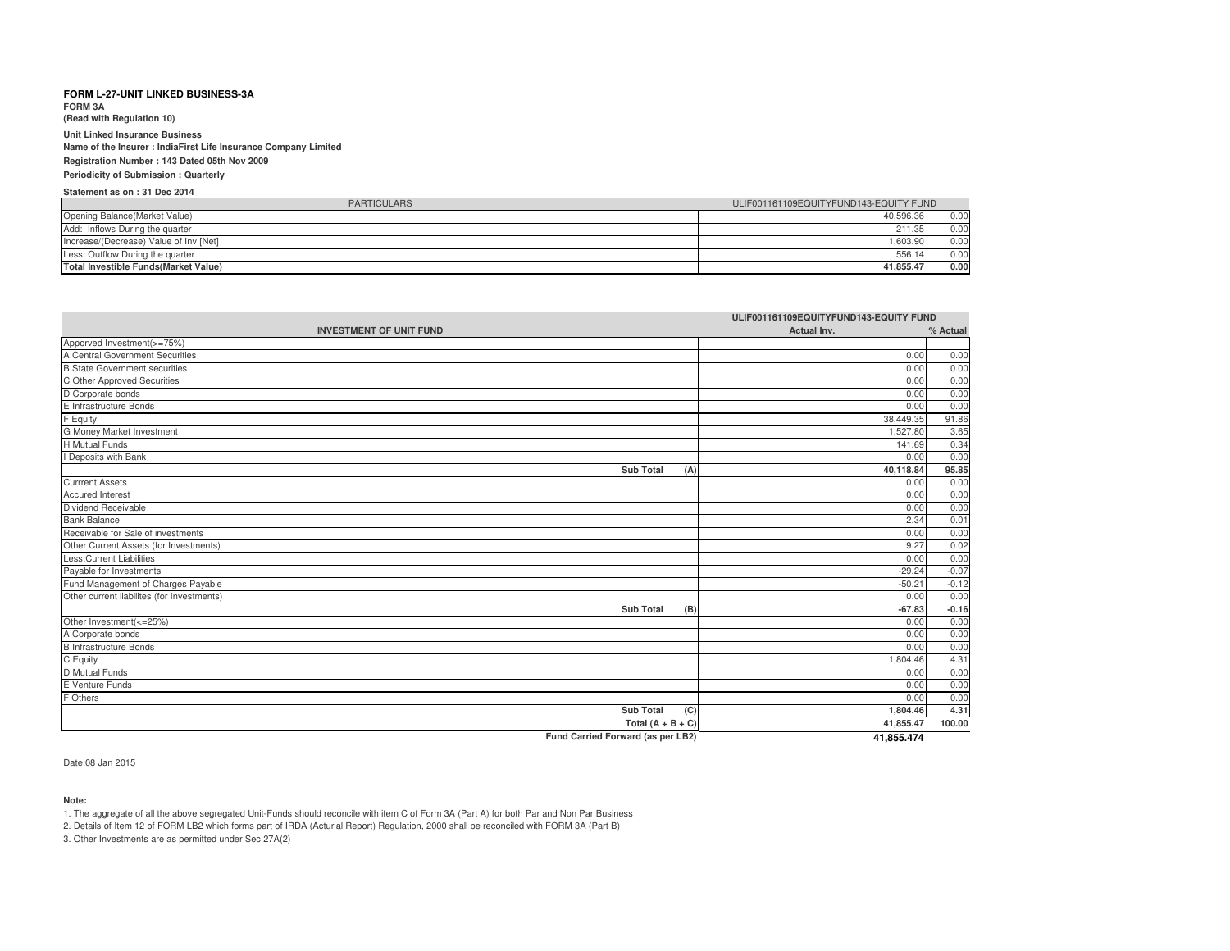**FORM 3A**

**(Read with Regulation 10)**

**Unit Linked Insurance Business Name of the Insurer : IndiaFirst Life Insurance Company LimitedRegistration Number : 143 Dated 05th Nov 2009Periodicity of Submission : Quarterly**

# **Statement as on : 31 Dec 2014**

| <b>PARTICULARS</b>                           | ULIF001161109EQUITYFUND143-EQUITY FUND |
|----------------------------------------------|----------------------------------------|
| Opening Balance(Market Value)                | 0.00<br>40.596.36                      |
| Add: Inflows During the quarter              | 211.35<br>0.00                         |
| Increase/(Decrease) Value of Inv [Net]       | 1.603.90<br>0.00                       |
| Less: Outflow During the quarter             | 556.14<br>0.00                         |
| <b>Total Investible Funds (Market Value)</b> | 0.00<br>41.855.47                      |

| ULIF001161109EQUITYFUND143-EQUITY FUND     |             |          |
|--------------------------------------------|-------------|----------|
| <b>INVESTMENT OF UNIT FUND</b>             | Actual Inv. | % Actual |
| Apporved Investment(>=75%)                 |             |          |
| A Central Government Securities            | 0.00        | 0.00     |
| <b>B</b> State Government securities       | 0.00        | 0.00     |
| C Other Approved Securities                | 0.00        | 0.00     |
| D Corporate bonds                          | 0.00        | 0.00     |
| E Infrastructure Bonds                     | 0.00        | 0.00     |
| F Equity                                   | 38,449.35   | 91.86    |
| <b>G Money Market Investment</b>           | 1,527.80    | 3.65     |
| <b>H</b> Mutual Funds                      | 141.69      | 0.34     |
| I Deposits with Bank                       | 0.00        | 0.00     |
| <b>Sub Total</b><br>(A)                    | 40,118.84   | 95.85    |
| <b>Currrent Assets</b>                     | 0.00        | 0.00     |
| <b>Accured Interest</b>                    | 0.00        | 0.00     |
| Dividend Receivable                        | 0.00        | 0.00     |
| <b>Bank Balance</b>                        | 2.34        | 0.01     |
| Receivable for Sale of investments         | 0.00        | 0.00     |
| Other Current Assets (for Investments)     | 9.27        | 0.02     |
| Less: Current Liabilities                  | 0.00        | 0.00     |
| Payable for Investments                    | $-29.24$    | $-0.07$  |
| Fund Management of Charges Payable         | $-50.21$    | $-0.12$  |
| Other current liabilites (for Investments) | 0.00        | 0.00     |
| <b>Sub Total</b><br>(B)                    | $-67.83$    | $-0.16$  |
| Other Investment(<=25%)                    | 0.00        | 0.00     |
| A Corporate bonds                          | 0.00        | 0.00     |
| <b>B</b> Infrastructure Bonds              | 0.00        | 0.00     |
| C Equity                                   | 1,804.46    | 4.31     |
| D Mutual Funds                             | 0.00        | 0.00     |
| E Venture Funds                            | 0.00        | 0.00     |
| F Others                                   | 0.00        | 0.00     |
| <b>Sub Total</b><br>(C)                    | 1,804.46    | 4.31     |
| Total $(A + B + C)$                        | 41,855.47   | 100.00   |
| Fund Carried Forward (as per LB2)          | 41.855.474  |          |

Date:08 Jan 2015

#### **Note:**

1. The aggregate of all the above segregated Unit-Funds should reconcile with item C of Form 3A (Part A) for both Par and Non Par Business

2. Details of Item 12 of FORM LB2 which forms part of IRDA (Acturial Report) Regulation, 2000 shall be reconciled with FORM 3A (Part B)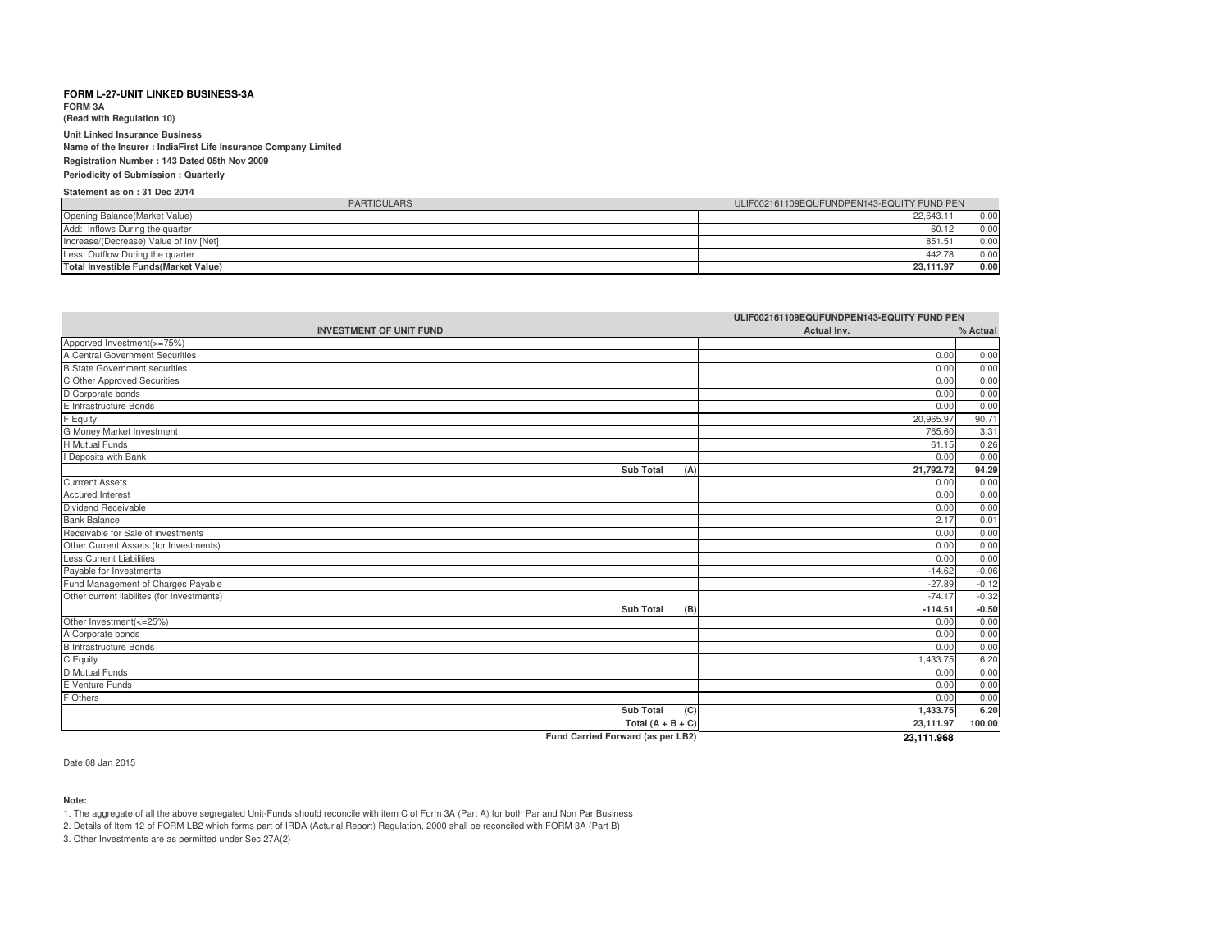**FORM 3A(Read with Regulation 10)**

**Unit Linked Insurance Business**

 **Name of the Insurer : IndiaFirst Life Insurance Company LimitedRegistration Number : 143 Dated 05th Nov 2009**

**Periodicity of Submission : Quarterly**

### **Statement as on : 31 Dec 2014**

| <b>PARTICULARS</b>                     | ULIF002161109EQUFUNDPEN143-EQUITY FUND PEN |
|----------------------------------------|--------------------------------------------|
| Opening Balance (Market Value)         | 22.643.11<br>0.00                          |
| Add: Inflows During the quarter        | 0.00<br>60.12                              |
| Increase/(Decrease) Value of Inv [Net] | 851.51<br>0.00                             |
| Less: Outflow During the quarter       | 442.78<br>0.00                             |
| Total Investible Funds (Market Value)  | 0.00<br>23.111.97                          |

| ULIF002161109EQUFUNDPEN143-EQUITY FUND PEN                   |             |          |
|--------------------------------------------------------------|-------------|----------|
| <b>INVESTMENT OF UNIT FUND</b>                               | Actual Inv. | % Actual |
| Apporved Investment(>=75%)                                   |             |          |
| A Central Government Securities                              | 0.00        | 0.00     |
| B State Government securities<br>C Other Approved Securities | 0.00        | 0.00     |
|                                                              | 0.00        | 0.00     |
| D Corporate bonds                                            | 0.00        | 0.00     |
| E Infrastructure Bonds                                       | 0.00        | 0.00     |
| F Equity                                                     | 20,965.97   | 90.71    |
| G Money Market Investment                                    | 765.60      | 3.31     |
| H Mutual Funds                                               | 61.15       | 0.26     |
| I Deposits with Bank                                         | 0.00        | 0.00     |
| <b>Sub Total</b><br>(A)                                      | 21.792.72   | 94.29    |
| <b>Currrent Assets</b>                                       | 0.00        | 0.00     |
| Accured Interest                                             | 0.00        | 0.00     |
| Dividend Receivable                                          | 0.00        | 0.00     |
| <b>Bank Balance</b>                                          | 2.17        | 0.01     |
| Receivable for Sale of investments                           | 0.00        | 0.00     |
| Other Current Assets (for Investments)                       | 0.00        | 0.00     |
| <b>Less:Current Liabilities</b>                              | 0.00        | 0.00     |
| Payable for Investments                                      | $-14.62$    | $-0.06$  |
| Fund Management of Charges Payable                           | $-27.89$    | $-0.12$  |
| Other current liabilites (for Investments)                   | $-74.17$    | $-0.32$  |
| <b>Sub Total</b><br>(B)                                      | $-114.51$   | $-0.50$  |
| Other Investment(<=25%)                                      | 0.00        | 0.00     |
| A Corporate bonds<br>B Infrastructure Bonds                  | 0.00        | 0.00     |
|                                                              | 0.00        | 0.00     |
| C Equity                                                     | 1,433.75    | 6.20     |
| D Mutual Funds                                               | 0.00        | 0.00     |
| E Venture Funds                                              | 0.00        | 0.00     |
| F Others                                                     | 0.00        | 0.00     |
| <b>Sub Total</b><br>(C)                                      | 1,433.75    | 6.20     |
| Total $(A + B + C)$                                          | 23,111.97   | 100.00   |
| Fund Carried Forward (as per LB2)                            | 23,111.968  |          |

Date:08 Jan 2015

#### **Note:**

1. The aggregate of all the above segregated Unit-Funds should reconcile with item C of Form 3A (Part A) for both Par and Non Par Business

2. Details of Item 12 of FORM LB2 which forms part of IRDA (Acturial Report) Regulation, 2000 shall be reconciled with FORM 3A (Part B)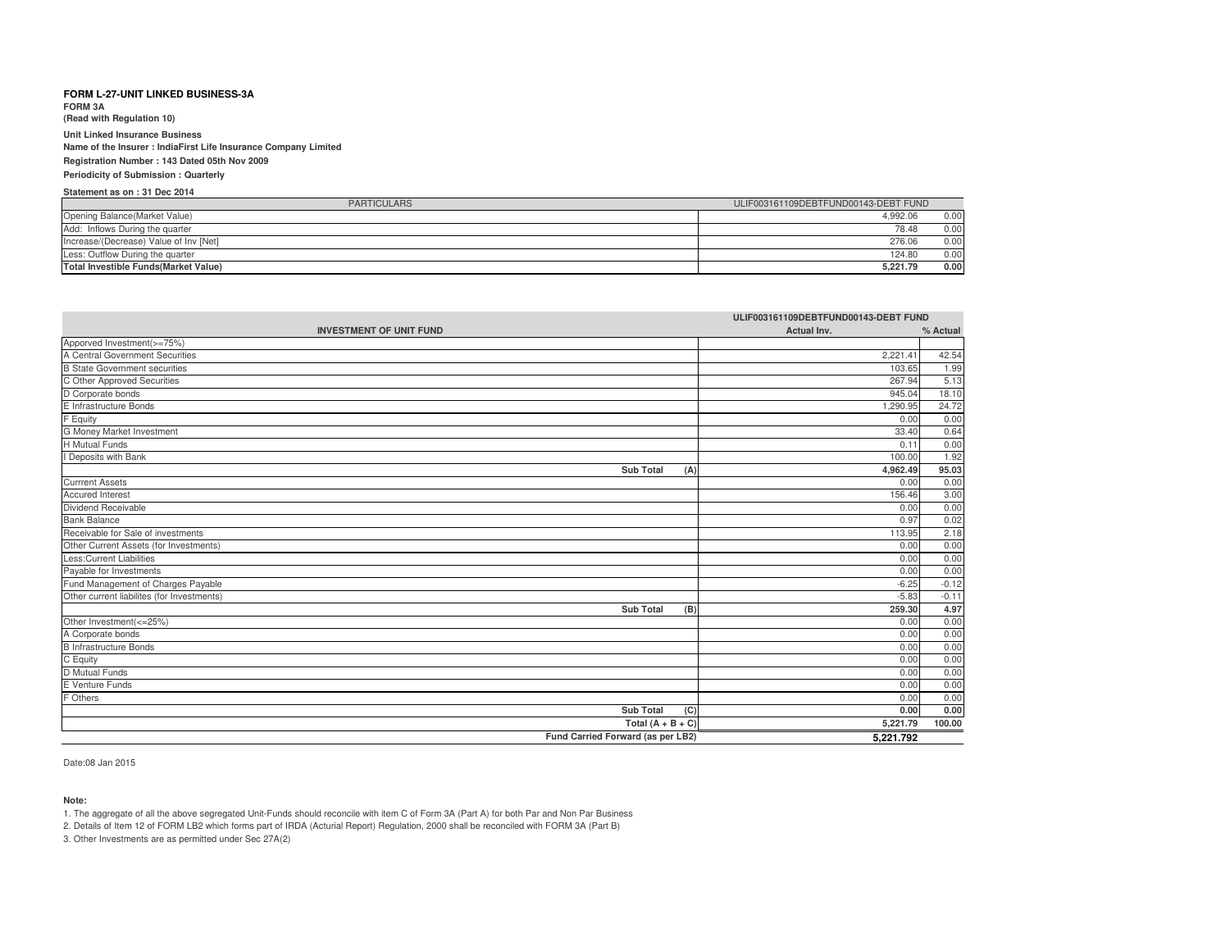**FORM 3A**

**(Read with Regulation 10)**

**Unit Linked Insurance Business Name of the Insurer : IndiaFirst Life Insurance Company LimitedRegistration Number : 143 Dated 05th Nov 2009Periodicity of Submission : Quarterly**

# **Statement as on : 31 Dec 2014**

| <b>PARTICULARS</b>                     | ULIF003161109DEBTFUND00143-DEBT FUND |      |
|----------------------------------------|--------------------------------------|------|
| Opening Balance (Market Value)         | 4.992.06                             | 0.00 |
| Add: Inflows During the quarter        | 78.48                                | 0.00 |
| Increase/(Decrease) Value of Inv [Net] | 276.06                               | 0.00 |
| Less: Outflow During the quarter       | 124.80                               | 0.00 |
| Total Investible Funds (Market Value)  | 5.221.79                             | 0.00 |

| ULIF003161109DEBTFUND00143-DEBT FUND                          |             |          |
|---------------------------------------------------------------|-------------|----------|
| <b>INVESTMENT OF UNIT FUND</b>                                | Actual Inv. | % Actual |
| Apporved Investment(>=75%)<br>A Central Government Securities |             |          |
|                                                               | 2,221.41    | 42.54    |
| <b>B State Government securities</b>                          | 103.65      | 1.99     |
| C Other Approved Securities                                   | 267.94      | 5.13     |
| D Corporate bonds                                             | 945.04      | 18.10    |
| E Infrastructure Bonds                                        | ,290.95     | 24.72    |
| F Equity                                                      | 0.00        | 0.00     |
| G Money Market Investment                                     | 33.40       | 0.64     |
| <b>H</b> Mutual Funds                                         | 0.11        | 0.00     |
| I Deposits with Bank                                          | 100.00      | 1.92     |
| <b>Sub Total</b><br>(A)                                       | 4,962.49    | 95.03    |
| <b>Currrent Assets</b>                                        | 0.00        | 0.00     |
| <b>Accured Interest</b>                                       | 156.46      | 3.00     |
| Dividend Receivable                                           | 0.00        | 0.00     |
| <b>Bank Balance</b>                                           | 0.97        | 0.02     |
| Receivable for Sale of investments                            | 113.95      | 2.18     |
| Other Current Assets (for Investments)                        | 0.00        | 0.00     |
| Less: Current Liabilities                                     | 0.00        | 0.00     |
| Payable for Investments                                       | 0.00        | 0.00     |
| Fund Management of Charges Payable                            | $-6.25$     | $-0.12$  |
| Other current liabilites (for Investments)                    | $-5.83$     | $-0.11$  |
| <b>Sub Total</b><br>(B)                                       | 259.30      | 4.97     |
| Other Investment(<=25%)                                       | 0.00        | 0.00     |
| A Corporate bonds                                             | 0.00        | 0.00     |
| <b>B</b> Infrastructure Bonds                                 | 0.00        | 0.00     |
| C Equity                                                      | 0.00        | 0.00     |
| D Mutual Funds                                                | 0.00        | 0.00     |
| E Venture Funds                                               | 0.00        | 0.00     |
| F Others                                                      | 0.00        | 0.00     |
| <b>Sub Total</b><br>(C)                                       | 0.00        | 0.00     |
| Total $(A + B + C)$                                           | 5,221.79    | 100.00   |
| Fund Carried Forward (as per LB2)                             | 5,221.792   |          |

Date:08 Jan 2015

**Note:**

1. The aggregate of all the above segregated Unit-Funds should reconcile with item C of Form 3A (Part A) for both Par and Non Par Business

2. Details of Item 12 of FORM LB2 which forms part of IRDA (Acturial Report) Regulation, 2000 shall be reconciled with FORM 3A (Part B)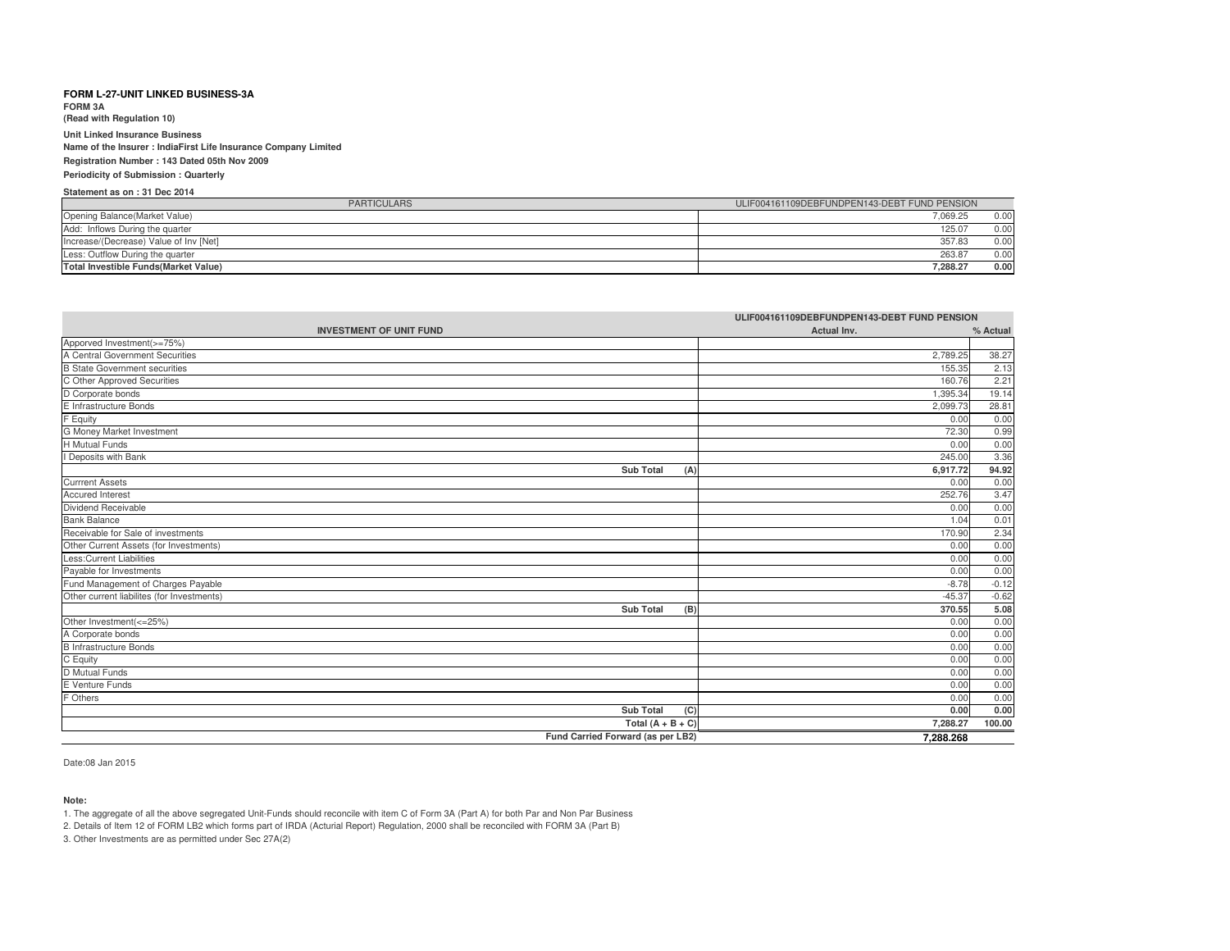**FORM 3A(Read with Regulation 10)**

**Unit Linked Insurance Business**

 **Name of the Insurer : IndiaFirst Life Insurance Company LimitedRegistration Number : 143 Dated 05th Nov 2009**

**Periodicity of Submission : Quarterly**

### **Statement as on : 31 Dec 2014**

| <b>PARTICULARS</b>                           | ULIF004161109DEBFUNDPEN143-DEBT FUND PENSION |
|----------------------------------------------|----------------------------------------------|
| Opening Balance (Market Value)               | 7.069.25<br>0.00                             |
| Add: Inflows During the quarter              | 125.07<br>0.00                               |
| Increase/(Decrease) Value of Inv [Net]       | 357.83<br>0.00                               |
| Less: Outflow During the quarter             | 263.87<br>0.00                               |
| <b>Total Investible Funds (Market Value)</b> | 0.00<br>7.288.27                             |

| ULIF004161109DEBFUNDPEN143-DEBT FUND PENSION |             |          |
|----------------------------------------------|-------------|----------|
| <b>INVESTMENT OF UNIT FUND</b>               | Actual Inv. | % Actual |
| Apporved Investment(>=75%)                   |             |          |
| A Central Government Securities              | 2,789.25    | 38.27    |
| <b>B State Government securities</b>         | 155.35      | 2.13     |
| C Other Approved Securities                  | 160.76      | 2.21     |
| D Corporate bonds                            | 1.395.34    | 19.14    |
| E Infrastructure Bonds                       | 2,099.73    | 28.81    |
| F Equity                                     | 0.00        | 0.00     |
| G Money Market Investment                    | 72.30       | 0.99     |
| H Mutual Funds                               | 0.00        | 0.00     |
| I Deposits with Bank                         | 245.00      | 3.36     |
| <b>Sub Total</b><br>(A)                      | 6,917.72    | 94.92    |
| <b>Currrent Assets</b>                       | 0.00        | 0.00     |
| Accured Interest                             | 252.76      | 3.47     |
| Dividend Receivable                          | 0.00        | 0.00     |
| <b>Bank Balance</b>                          | 1.04        | 0.01     |
| Receivable for Sale of investments           | 170.90      | 2.34     |
| Other Current Assets (for Investments)       | 0.00        | 0.00     |
| <b>Less:Current Liabilities</b>              | 0.00        | 0.00     |
| Payable for Investments                      | 0.00        | 0.00     |
| Fund Management of Charges Payable           | $-8.78$     | $-0.12$  |
| Other current liabilites (for Investments)   | $-45.37$    | $-0.62$  |
| <b>Sub Total</b><br>(B)                      | 370.55      | 5.08     |
| Other Investment(<=25%)                      | 0.00        | 0.00     |
| A Corporate bonds                            | 0.00        | 0.00     |
| <b>B</b> Infrastructure Bonds                | 0.00        | 0.00     |
| C Equity                                     | 0.00        | 0.00     |
| D Mutual Funds                               | 0.00        | 0.00     |
| E Venture Funds                              | 0.00        | 0.00     |
| F Others                                     | 0.00        | 0.00     |
| <b>Sub Total</b><br>(C)                      | 0.00        | 0.00     |
| Total $(A + B + C)$                          | 7.288.27    | 100.00   |
| Fund Carried Forward (as per LB2)            | 7.288.268   |          |

Date:08 Jan 2015

#### **Note:**

1. The aggregate of all the above segregated Unit-Funds should reconcile with item C of Form 3A (Part A) for both Par and Non Par Business

2. Details of Item 12 of FORM LB2 which forms part of IRDA (Acturial Report) Regulation, 2000 shall be reconciled with FORM 3A (Part B)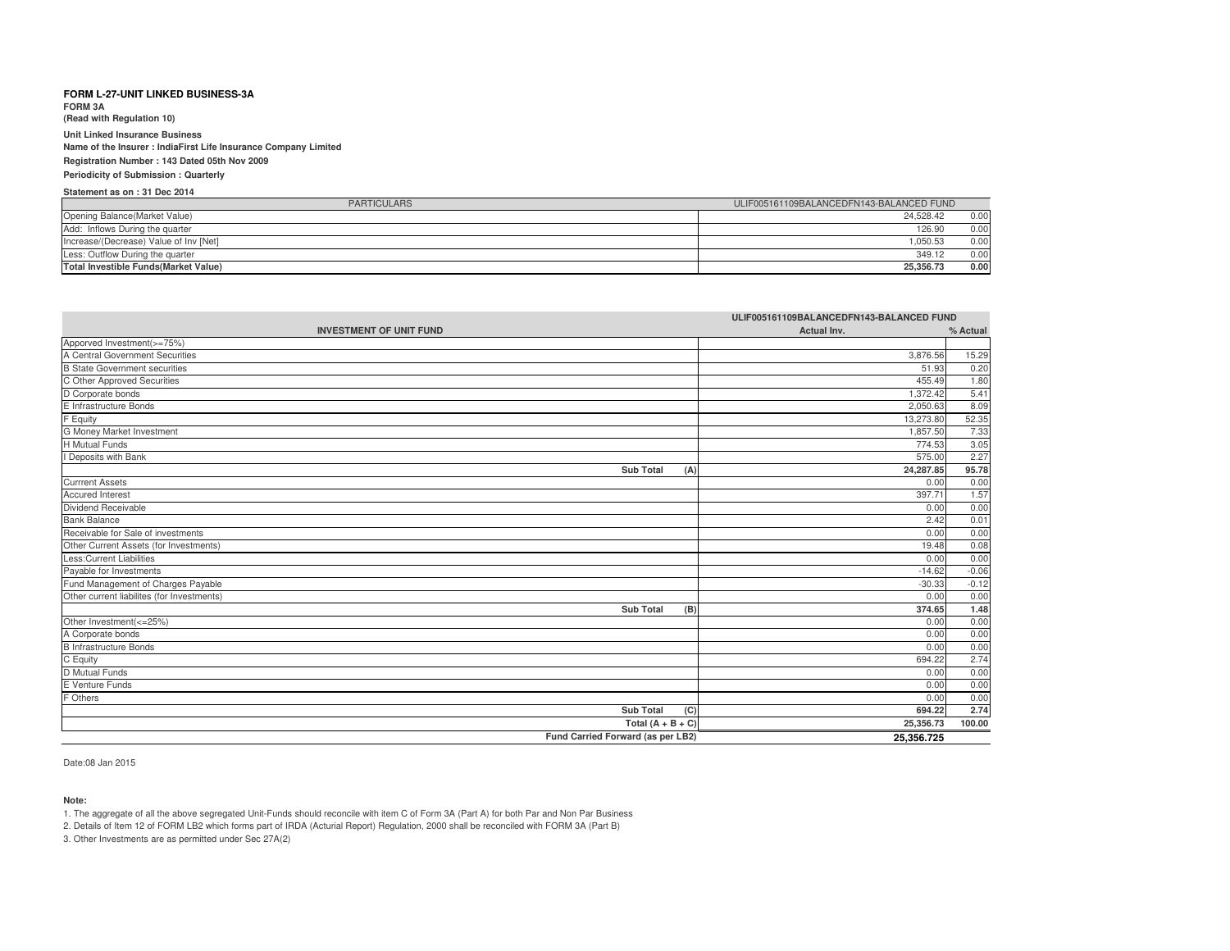**FORM 3A(Read with Regulation 10)**

**Unit Linked Insurance Business**

 **Name of the Insurer : IndiaFirst Life Insurance Company LimitedRegistration Number : 143 Dated 05th Nov 2009**

**Periodicity of Submission : Quarterly**

### **Statement as on : 31 Dec 2014**

| <b>PARTICULARS</b>                           | ULIF005161109BALANCEDFN143-BALANCED FUND |
|----------------------------------------------|------------------------------------------|
| Opening Balance (Market Value)               | 0.00<br>24.528.42                        |
| Add: Inflows During the quarter              | 0.00<br>126.90                           |
| Increase/(Decrease) Value of Inv [Net]       | .050.53<br>0.00                          |
| Less: Outflow During the quarter             | 0.00<br>349.12                           |
| <b>Total Investible Funds (Market Value)</b> | 0.00<br>25.356.73                        |

| ULIF005161109BALANCEDFN143-BALANCED FUND   |             |          |
|--------------------------------------------|-------------|----------|
| <b>INVESTMENT OF UNIT FUND</b>             | Actual Inv. | % Actual |
| Apporved Investment(>=75%)                 |             |          |
| A Central Government Securities            | 3,876.56    | 15.29    |
| <b>B State Government securities</b>       | 51.93       | 0.20     |
| C Other Approved Securities                | 455.49      | 1.80     |
| D Corporate bonds                          | 1.372.42    | 5.41     |
| E Infrastructure Bonds                     | 2,050.63    | 8.09     |
| F Equity                                   | 13,273.80   | 52.35    |
| G Money Market Investment                  | 1.857.50    | 7.33     |
| <b>H</b> Mutual Funds                      | 774.53      | 3.05     |
| I Deposits with Bank                       | 575.00      | 2.27     |
| <b>Sub Total</b><br>(A)                    | 24.287.85   | 95.78    |
| <b>Currrent Assets</b>                     | 0.00        | 0.00     |
| <b>Accured Interest</b>                    | 397.71      | 1.57     |
| Dividend Receivable                        | 0.00        | 0.00     |
| <b>Bank Balance</b>                        | 2.42        | 0.01     |
| Receivable for Sale of investments         | 0.00        | 0.00     |
| Other Current Assets (for Investments)     | 19.48       | 0.08     |
| <b>Less:Current Liabilities</b>            | 0.00        | 0.00     |
| Payable for Investments                    | $-14.62$    | $-0.06$  |
| Fund Management of Charges Payable         | $-30.33$    | $-0.12$  |
| Other current liabilites (for Investments) | 0.00        | 0.00     |
| <b>Sub Total</b><br>(B)                    | 374.65      | 1.48     |
| Other Investment(<=25%)                    | 0.00        | 0.00     |
| A Corporate bonds                          | 0.00        | 0.00     |
| <b>B Infrastructure Bonds</b>              | 0.00        | 0.00     |
| C Equity                                   | 694.22      | 2.74     |
| D Mutual Funds                             | 0.00        | 0.00     |
| E Venture Funds                            | 0.00        | 0.00     |
| F Others                                   | 0.00        | 0.00     |
| <b>Sub Total</b><br>(C)                    | 694.22      | 2.74     |
| Total $(A + B + C)$                        | 25,356.73   | 100.00   |
| Fund Carried Forward (as per LB2)          | 25,356.725  |          |

Date:08 Jan 2015

#### **Note:**

1. The aggregate of all the above segregated Unit-Funds should reconcile with item C of Form 3A (Part A) for both Par and Non Par Business

2. Details of Item 12 of FORM LB2 which forms part of IRDA (Acturial Report) Regulation, 2000 shall be reconciled with FORM 3A (Part B)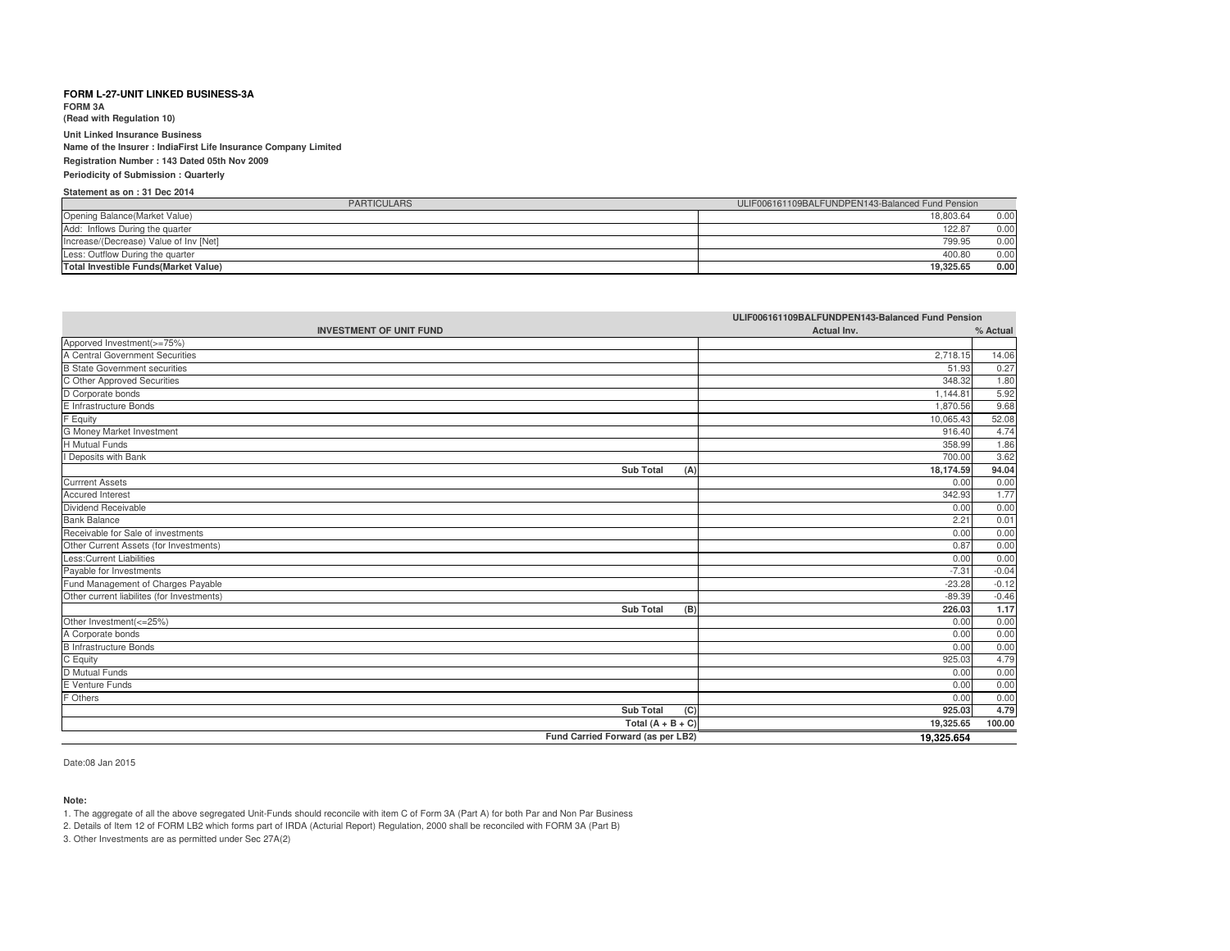**FORM 3A**

**(Read with Regulation 10)**

**Unit Linked Insurance Business Name of the Insurer : IndiaFirst Life Insurance Company LimitedRegistration Number : 143 Dated 05th Nov 2009**

**Periodicity of Submission : Quarterly**

### **Statement as on : 31 Dec 2014**

| <b>PARTICULARS</b>                           | ULIF006161109BALFUNDPEN143-Balanced Fund Pension |
|----------------------------------------------|--------------------------------------------------|
| Opening Balance (Market Value)               | 18.803.64<br>0.00                                |
| Add: Inflows During the quarter              | 122.87<br>0.00                                   |
| Increase/(Decrease) Value of Inv [Net]       | 0.00<br>799.95                                   |
| Less: Outflow During the quarter             | 0.00<br>400.80                                   |
| <b>Total Investible Funds (Market Value)</b> | 0.00<br>19.325.65                                |

| ULIF006161109BALFUNDPEN143-Balanced Fund Pension |             |          |
|--------------------------------------------------|-------------|----------|
| <b>INVESTMENT OF UNIT FUND</b>                   | Actual Inv. | % Actual |
| Apporved Investment(>=75%)                       |             |          |
| A Central Government Securities                  | 2,718.15    | 14.06    |
| <b>B</b> State Government securities             | 51.93       | 0.27     |
| C Other Approved Securities                      | 348.32      | 1.80     |
| D Corporate bonds                                | 1.144.81    | 5.92     |
| E Infrastructure Bonds                           | 1,870.56    | 9.68     |
| F Equity                                         | 10,065.43   | 52.08    |
| G Money Market Investment                        | 916.40      | 4.74     |
| <b>H</b> Mutual Funds                            | 358.99      | 1.86     |
| Deposits with Bank                               | 700.00      | 3.62     |
| <b>Sub Total</b><br>(A)                          | 18,174.59   | 94.04    |
| <b>Currrent Assets</b>                           | 0.00        | 0.00     |
| <b>Accured Interest</b>                          | 342.93      | 1.77     |
| Dividend Receivable                              | 0.00        | 0.00     |
| <b>Bank Balance</b>                              | 2.21        | 0.01     |
| Receivable for Sale of investments               | 0.00        | 0.00     |
| Other Current Assets (for Investments)           | 0.87        | 0.00     |
| <b>Less:Current Liabilities</b>                  | 0.00        | 0.00     |
| Payable for Investments                          | $-7.31$     | $-0.04$  |
| Fund Management of Charges Payable               | $-23.28$    | $-0.12$  |
| Other current liabilites (for Investments)       | $-89.39$    | $-0.46$  |
| Sub Total<br>(B)                                 | 226.03      | 1.17     |
| Other Investment(<=25%)                          | 0.00        | 0.00     |
| A Corporate bonds                                | 0.00        | 0.00     |
| <b>B</b> Infrastructure Bonds                    | 0.00        | 0.00     |
| C Equity                                         | 925.03      | 4.79     |
| D Mutual Funds                                   | 0.00        | 0.00     |
| E Venture Funds                                  | 0.00        | 0.00     |
| F Others                                         | 0.00        | 0.00     |
| <b>Sub Total</b><br>(C)                          | 925.03      | 4.79     |
| Total $(A + B + C)$                              | 19,325.65   | 100.00   |
| Fund Carried Forward (as per LB2)                | 19,325.654  |          |

Date:08 Jan 2015

#### **Note:**

1. The aggregate of all the above segregated Unit-Funds should reconcile with item C of Form 3A (Part A) for both Par and Non Par Business

2. Details of Item 12 of FORM LB2 which forms part of IRDA (Acturial Report) Regulation, 2000 shall be reconciled with FORM 3A (Part B)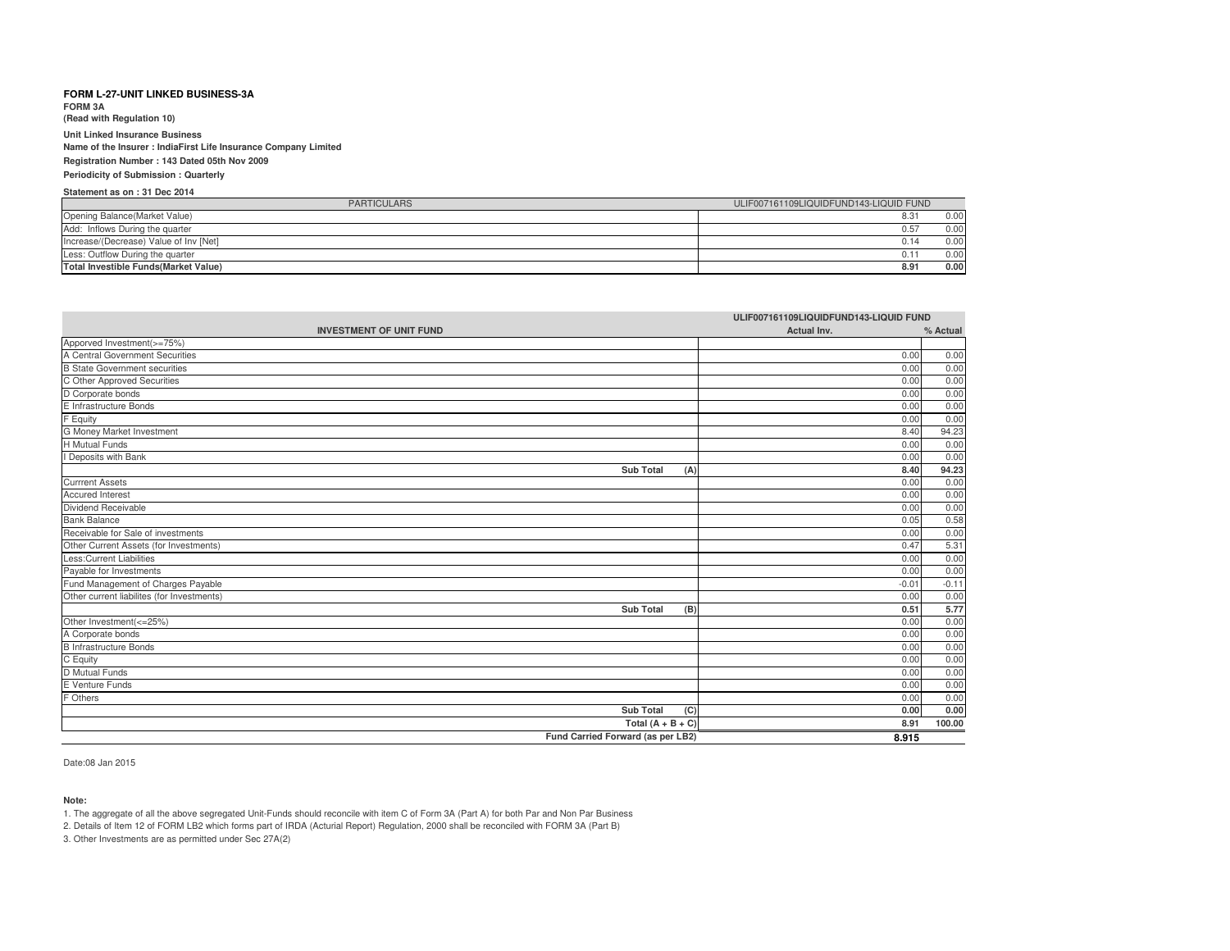**FORM 3A**

**(Read with Regulation 10)**

**Unit Linked Insurance Business Name of the Insurer : IndiaFirst Life Insurance Company LimitedRegistration Number : 143 Dated 05th Nov 2009Periodicity of Submission : Quarterly**

## **Statement as on : 31 Dec 2014**

| <b>PARTICULARS</b>                           | ULIF007161109LIQUIDFUND143-LIQUID FUND |
|----------------------------------------------|----------------------------------------|
| Opening Balance (Market Value)               | 0.00<br>8.31                           |
| Add: Inflows During the quarter              | 0.00<br>0.57                           |
| Increase/(Decrease) Value of Inv [Net]       | 0.00<br>0.14                           |
| Less: Outflow During the quarter             | 0.00<br>0.11                           |
| <b>Total Investible Funds (Market Value)</b> | 0.00<br>8.91                           |

| ULIF007161109LIQUIDFUND143-LIQUID FUND     |             |          |
|--------------------------------------------|-------------|----------|
| <b>INVESTMENT OF UNIT FUND</b>             | Actual Inv. | % Actual |
| Apporved Investment(>=75%)                 |             |          |
| A Central Government Securities            | 0.00        | 0.00     |
| <b>B State Government securities</b>       | 0.00        | 0.00     |
| C Other Approved Securities                | 0.00        | 0.00     |
| D Corporate bonds                          | 0.00        | 0.00     |
| E Infrastructure Bonds                     | 0.00        | 0.00     |
| F Equity                                   | 0.00        | 0.00     |
| G Money Market Investment                  | 8.40        | 94.23    |
| <b>H</b> Mutual Funds                      | 0.00        | 0.00     |
| I Deposits with Bank                       | 0.00        | 0.00     |
| <b>Sub Total</b><br>(A)                    | 8.40        | 94.23    |
| <b>Currrent Assets</b>                     | 0.00        | 0.00     |
| <b>Accured Interest</b>                    | 0.00        | 0.00     |
| Dividend Receivable                        | 0.00        | 0.00     |
| <b>Bank Balance</b>                        | 0.05        | 0.58     |
| Receivable for Sale of investments         | 0.00        | 0.00     |
| Other Current Assets (for Investments)     | 0.47        | 5.31     |
| <b>Less:Current Liabilities</b>            | 0.00        | 0.00     |
| Payable for Investments                    | 0.00        | 0.00     |
| Fund Management of Charges Payable         | $-0.01$     | $-0.11$  |
| Other current liabilites (for Investments) | 0.00        | 0.00     |
| <b>Sub Total</b><br>(B)                    | 0.51        | 5.77     |
| Other Investment(<=25%)                    | 0.00        | 0.00     |
| A Corporate bonds                          | 0.00        | 0.00     |
| <b>B</b> Infrastructure Bonds              | 0.00        | 0.00     |
| C Equity                                   | 0.00        | 0.00     |
| D Mutual Funds                             | 0.00        | 0.00     |
| E Venture Funds                            | 0.00        | 0.00     |
| F Others                                   | 0.00        | 0.00     |
| <b>Sub Total</b><br>(C)                    | 0.00        | 0.00     |
| Total $(A + B + C)$                        | 8.91        | 100.00   |
| Fund Carried Forward (as per LB2)          | 8.915       |          |

Date:08 Jan 2015

**Note:**

1. The aggregate of all the above segregated Unit-Funds should reconcile with item C of Form 3A (Part A) for both Par and Non Par Business

2. Details of Item 12 of FORM LB2 which forms part of IRDA (Acturial Report) Regulation, 2000 shall be reconciled with FORM 3A (Part B)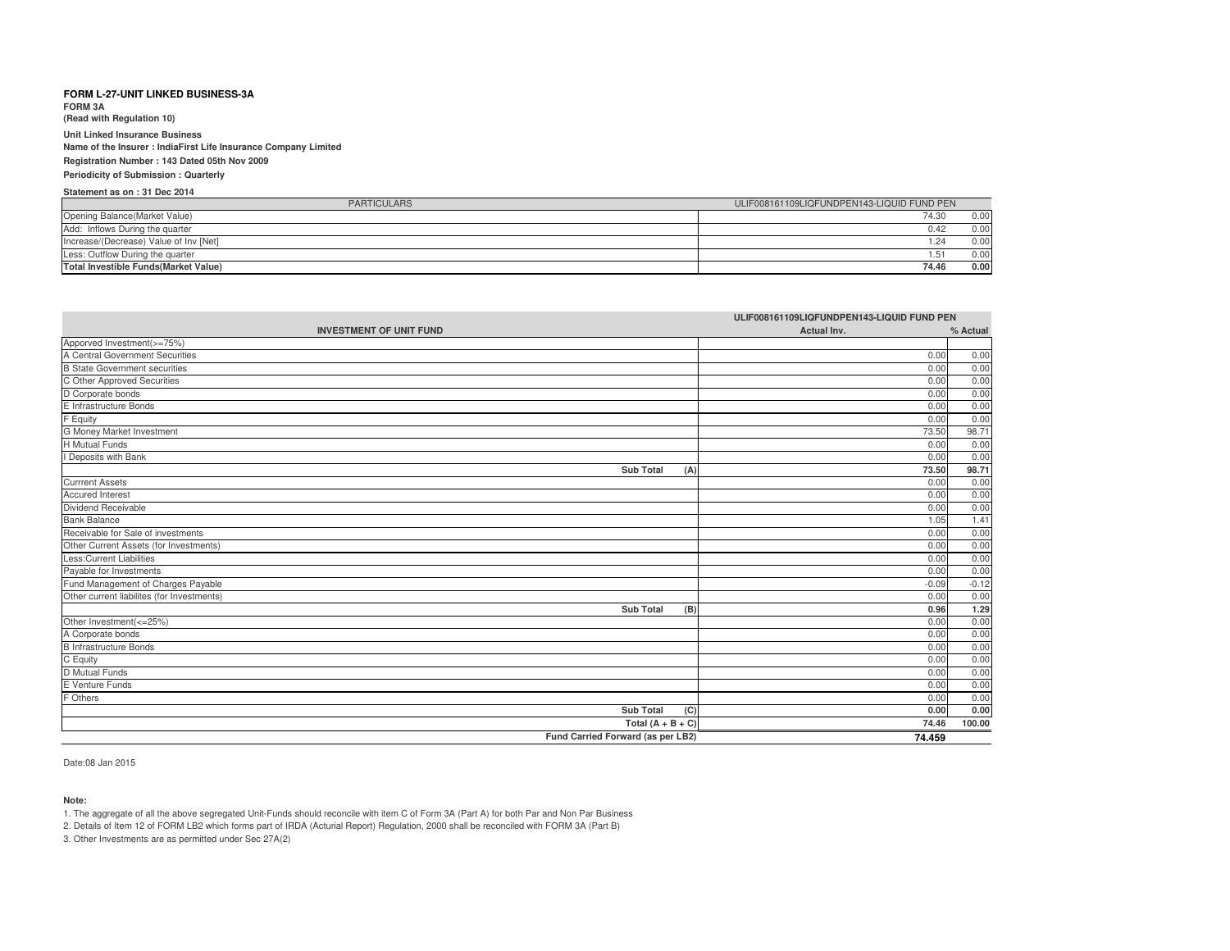**FORM 3A(Read with Regulation 10)**

**Unit Linked Insurance Business**

 **Name of the Insurer : IndiaFirst Life Insurance Company LimitedRegistration Number : 143 Dated 05th Nov 2009**

**Periodicity of Submission : Quarterly**

### **Statement as on : 31 Dec 2014**

| <b>PARTICULARS</b>                           | ULIF008161109LIQFUNDPEN143-LIQUID FUND PEN |  |
|----------------------------------------------|--------------------------------------------|--|
| Opening Balance (Market Value)               | 74.30<br>0.00                              |  |
| Add: Inflows During the quarter              | 0.00<br>0.42                               |  |
| Increase/(Decrease) Value of Inv [Net]       | 0.00<br>.24                                |  |
| Less: Outflow During the quarter             | 0.00<br>.51                                |  |
| <b>Total Investible Funds (Market Value)</b> | 74.46<br>0.00                              |  |

| ULIF008161109LIQFUNDPEN143-LIQUID FUND PEN |             |          |
|--------------------------------------------|-------------|----------|
| <b>INVESTMENT OF UNIT FUND</b>             | Actual Inv. | % Actual |
| Apporved Investment(>=75%)                 |             |          |
| A Central Government Securities            | 0.00        | 0.00     |
| <b>B</b> State Government securities       | 0.00        | 0.00     |
| C Other Approved Securities                | 0.00        | 0.00     |
| D Corporate bonds                          | 0.00        | 0.00     |
| E Infrastructure Bonds                     | 0.00        | 0.00     |
| F Equity                                   | 0.00        | 0.00     |
| G Money Market Investment                  | 73.50       | 98.71    |
| H Mutual Funds                             | 0.00        | 0.00     |
| I Deposits with Bank                       | 0.00        | 0.00     |
| <b>Sub Total</b><br>(A)                    | 73.50       | 98.71    |
| <b>Currrent Assets</b>                     | 0.00        | 0.00     |
| <b>Accured Interest</b>                    | 0.00        | 0.00     |
| Dividend Receivable                        | 0.00        | 0.00     |
| <b>Bank Balance</b>                        | 1.05        | 1.41     |
| Receivable for Sale of investments         | 0.00        | 0.00     |
| Other Current Assets (for Investments)     | 0.00        | 0.00     |
| <b>Less:Current Liabilities</b>            | 0.00        | 0.00     |
| Payable for Investments                    | 0.00        | 0.00     |
| Fund Management of Charges Payable         | $-0.09$     | $-0.12$  |
| Other current liabilites (for Investments) | 0.00        | 0.00     |
| <b>Sub Total</b><br>(B)                    | 0.96        | 1.29     |
| Other Investment(<=25%)                    | 0.00        | 0.00     |
| A Corporate bonds                          | 0.00        | 0.00     |
| <b>B</b> Infrastructure Bonds              | 0.00        | 0.00     |
| C Equity                                   | 0.00        | 0.00     |
| D Mutual Funds                             | 0.00        | 0.00     |
| E Venture Funds                            | 0.00        | 0.00     |
| F Others                                   | 0.00        | 0.00     |
| <b>Sub Total</b><br>(C)                    | 0.00        | 0.00     |
| Total $(A + B + C)$                        | 74.46       | 100.00   |
| Fund Carried Forward (as per LB2)          | 74.459      |          |

Date:08 Jan 2015

#### **Note:**

1. The aggregate of all the above segregated Unit-Funds should reconcile with item C of Form 3A (Part A) for both Par and Non Par Business

2. Details of Item 12 of FORM LB2 which forms part of IRDA (Acturial Report) Regulation, 2000 shall be reconciled with FORM 3A (Part B)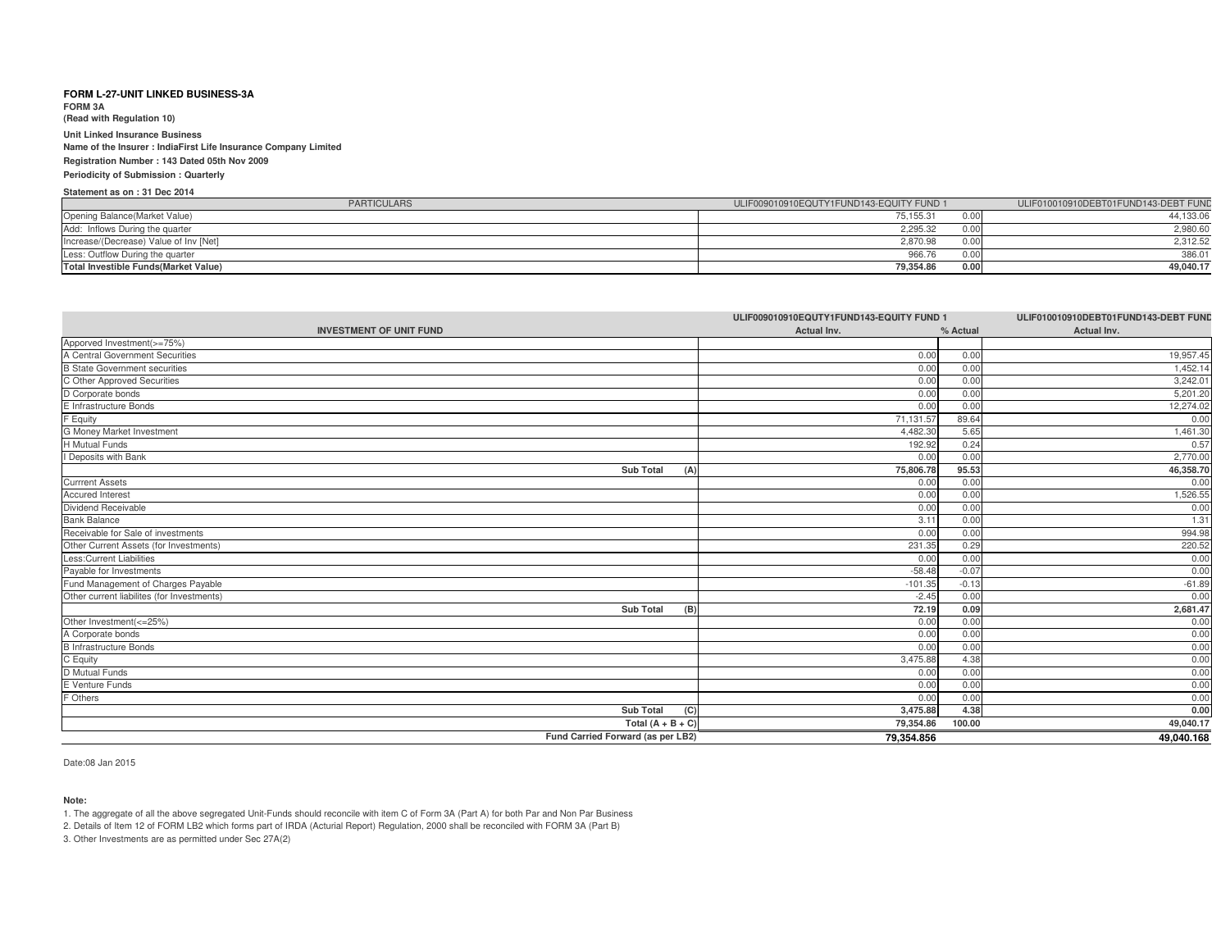**FORM 3A(Read with Regulation 10)**

**Unit Linked Insurance Business Name of the Insurer : IndiaFirst Life Insurance Company LimitedRegistration Number : 143 Dated 05th Nov 2009**

## **Periodicity of Submission : Quarterly**

### **Statement as on : 31 Dec 2014**

| <b>PARTICULARS</b>                     | ULIF009010910EQUTY1FUND143-EQUITY FUND 1 |      | ULIF010010910DEBT01FUND143-DEBT FUND |
|----------------------------------------|------------------------------------------|------|--------------------------------------|
| Opening Balance(Market Value)          | 75,155.31                                |      | 44,133.06                            |
| Add: Inflows During the quarter        | 2,295.32                                 |      | 2,980.60                             |
| Increase/(Decrease) Value of Inv [Net] | 2,870.98                                 | 0.0( | 2,312.52                             |
| Less: Outflow During the quarter       | 966.76                                   |      | 386.01                               |
| Total Investible Funds (Market Value)  | 79,354.86                                | 0.00 | 49,040.17                            |

|                                                                     | ULIF009010910EQUTY1FUND143-EQUITY FUND 1 |          | ULIF010010910DEBT01FUND143-DEBT FUND |
|---------------------------------------------------------------------|------------------------------------------|----------|--------------------------------------|
| <b>INVESTMENT OF UNIT FUND</b>                                      | Actual Inv.                              | % Actual | Actual Inv.                          |
| Apporved Investment(>=75%)<br>A Central Government Securities       |                                          |          |                                      |
|                                                                     | 0.00                                     | 0.00     | 19,957.45                            |
|                                                                     | 0.00                                     | 0.00     | 1,452.14                             |
| <b>B</b> State Government securities<br>C Other Approved Securities | 0.00                                     | 0.00     | 3,242.01                             |
| D Corporate bonds                                                   | 0.00                                     | 0.00     | 5,201.20                             |
| E Infrastructure Bonds                                              | 0.00                                     | 0.00     | 12,274.02                            |
| F Equity                                                            | 71,131.57                                | 89.64    | 0.00                                 |
| G Money Market Investment                                           | 4,482.30                                 | 5.65     | 1,461.30                             |
| H Mutual Funds                                                      | 192.92                                   | 0.24     | 0.57                                 |
| I Deposits with Bank                                                | 0.00                                     | 0.00     | 2,770.00                             |
| <b>Sub Total</b><br>(A)                                             | 75,806.78                                | 95.53    | 46,358.70                            |
| <b>Currrent Assets</b>                                              | 0.00                                     | 0.00     | 0.00                                 |
| <b>Accured Interest</b>                                             | 0.00                                     | 0.00     | 1,526.55                             |
| Dividend Receivable                                                 | 0.00                                     | 0.00     | 0.00                                 |
| Bank Balance<br>Receivable for Sale of investments                  | 3.11                                     | 0.00     | 1.31                                 |
|                                                                     | 0.00                                     | 0.00     | 994.98                               |
| Other Current Assets (for Investments)                              | 231.35                                   | 0.29     | 220.52                               |
| Less:Current Liabilities                                            | 0.00                                     | 0.00     | 0.00                                 |
| Payable for Investments                                             | $-58.48$                                 | $-0.07$  | 0.00                                 |
| Fund Management of Charges Payable                                  | $-101.35$                                | $-0.13$  | $-61.89$                             |
| Other current liabilites (for Investments)                          | $-2.45$                                  | 0.00     | 0.00                                 |
| <b>Sub Total</b><br>(B)                                             | 72.19                                    | 0.09     | 2,681.47                             |
| Other Investment(<=25%)                                             | 0.00                                     | 0.00     | 0.00                                 |
| A Corporate bonds                                                   | 0.00                                     | 0.00     | 0.00                                 |
| <b>B</b> Infrastructure Bonds                                       | 0.00                                     | 0.00     | 0.00                                 |
|                                                                     | 3,475.88                                 | 4.38     | 0.00                                 |
| C Equity<br>D Mutual Funds<br>E Venture Funds                       | 0.00                                     | 0.00     | 0.00                                 |
|                                                                     | 0.00                                     | 0.00     | 0.00                                 |
| F Others                                                            | 0.00                                     | 0.00     | 0.00                                 |
| Sub Total<br>(C)                                                    | 3,475.88                                 | 4.38     | 0.00                                 |
| Total $(A + B + C)$                                                 | 79,354.86                                | 100.00   | 49,040.17                            |
| Fund Carried Forward (as per LB2)                                   | 79,354.856                               |          | 49,040.168                           |

Date:08 Jan 2015

### **Note:**

1. The aggregate of all the above segregated Unit-Funds should reconcile with item C of Form 3A (Part A) for both Par and Non Par Business

2. Details of Item 12 of FORM LB2 which forms part of IRDA (Acturial Report) Regulation, 2000 shall be reconciled with FORM 3A (Part B)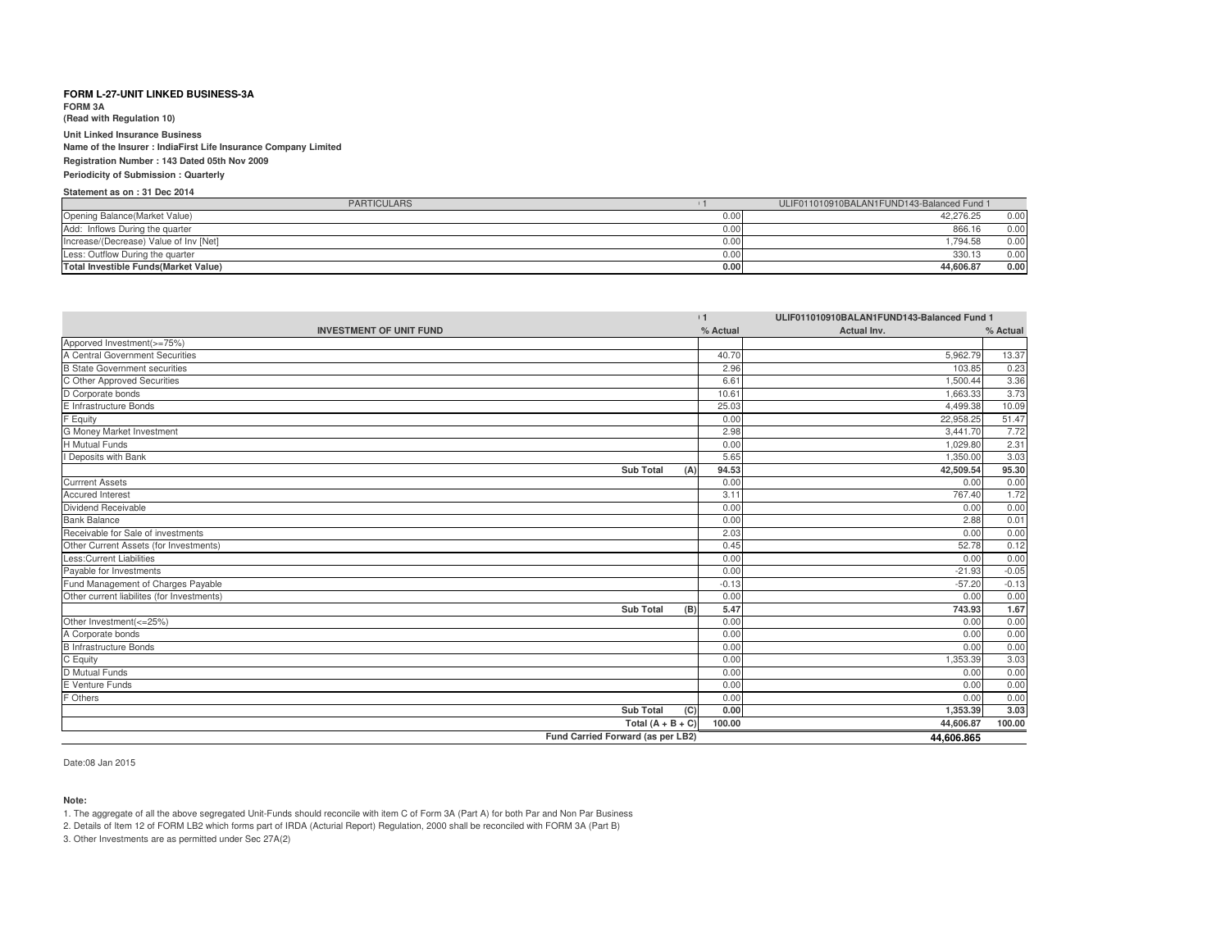**FORM 3A**

**(Read with Regulation 10)**

**Unit Linked Insurance BusinessName of the Insurer : IndiaFirst Life Insurance Company Limited**

**Registration Number : 143 Dated 05th Nov 2009Periodicity of Submission : Quarterly**

# **Statement as on : 31 Dec 2014**

| <b>PARTICULARS</b>                           |      | ULIF011010910BALAN1FUND143-Balanced Fund 1 |
|----------------------------------------------|------|--------------------------------------------|
| Opening Balance (Market Value)               | 0.00 | 42.276.25<br>0.00                          |
| Add: Inflows During the quarter              | 0.00 | 866.16<br>0.00                             |
| Increase/(Decrease) Value of Inv [Net]       | 0.00 | 794.58<br>0.00                             |
| Less: Outflow During the quarter             | 0.00 | 330.13<br>0.00                             |
| <b>Total Investible Funds (Market Value)</b> | 0.00 | 0.00<br>44.606.87                          |

| ULIF011010910BALAN1FUND143-Balanced Fund 1<br>11 |          |             |          |
|--------------------------------------------------|----------|-------------|----------|
| <b>INVESTMENT OF UNIT FUND</b>                   | % Actual | Actual Inv. | % Actual |
| Apporved Investment(>=75%)                       |          |             |          |
| A Central Government Securities                  | 40.70    | 5.962.79    | 13.37    |
| <b>B State Government securities</b>             | 2.96     | 103.85      | 0.23     |
| C Other Approved Securities                      | 6.61     | 1.500.44    | 3.36     |
| D Corporate bonds                                | 10.61    | 1.663.33    | 3.73     |
| E Infrastructure Bonds                           | 25.03    | 4.499.38    | 10.09    |
| F Equity                                         | 0.00     | 22,958.25   | 51.47    |
| <b>G Money Market Investment</b>                 | 2.98     | 3.441.70    | 7.72     |
| <b>H</b> Mutual Funds                            | 0.00     | 1.029.80    | 2.31     |
| I Deposits with Bank                             | 5.65     | 1.350.00    | 3.03     |
| <b>Sub Total</b><br>(A)                          | 94.53    | 42,509.54   | 95.30    |
| <b>Currrent Assets</b>                           | 0.00     | 0.00        | 0.00     |
| <b>Accured Interest</b>                          | 3.11     | 767.40      | 1.72     |
| Dividend Receivable                              | 0.00     | 0.00        | 0.00     |
| <b>Bank Balance</b>                              | 0.00     | 2.88        | 0.01     |
| Receivable for Sale of investments               | 2.03     | 0.00        | 0.00     |
| Other Current Assets (for Investments)           | 0.45     | 52.78       | 0.12     |
| <b>Less:Current Liabilities</b>                  | 0.00     | 0.00        | 0.00     |
| Payable for Investments                          | 0.00     | $-21.93$    | $-0.05$  |
| Fund Management of Charges Payable               | $-0.13$  | $-57.20$    | $-0.13$  |
| Other current liabilites (for Investments)       | 0.00     | 0.00        | 0.00     |
| <b>Sub Total</b><br>(B)                          | 5.47     | 743.93      | 1.67     |
| Other Investment(<=25%)                          | 0.00     | 0.00        | 0.00     |
| A Corporate bonds                                | 0.00     | 0.00        | 0.00     |
| <b>B</b> Infrastructure Bonds                    | 0.00     | 0.00        | 0.00     |
| C Equity                                         | 0.00     | 1,353.39    | 3.03     |
| D Mutual Funds                                   | 0.00     | 0.00        | 0.00     |
| E Venture Funds                                  | 0.00     | 0.00        | 0.00     |
| F Others                                         | 0.00     | 0.00        | 0.00     |
| <b>Sub Total</b><br>(C)                          | 0.00     | 1,353.39    | 3.03     |
| Total $(A + B + C)$                              | 100.00   | 44,606.87   | 100.00   |
| Fund Carried Forward (as per LB2)                |          | 44.606.865  |          |

Date:08 Jan 2015

**Note:**

1. The aggregate of all the above segregated Unit-Funds should reconcile with item C of Form 3A (Part A) for both Par and Non Par Business

2. Details of Item 12 of FORM LB2 which forms part of IRDA (Acturial Report) Regulation, 2000 shall be reconciled with FORM 3A (Part B)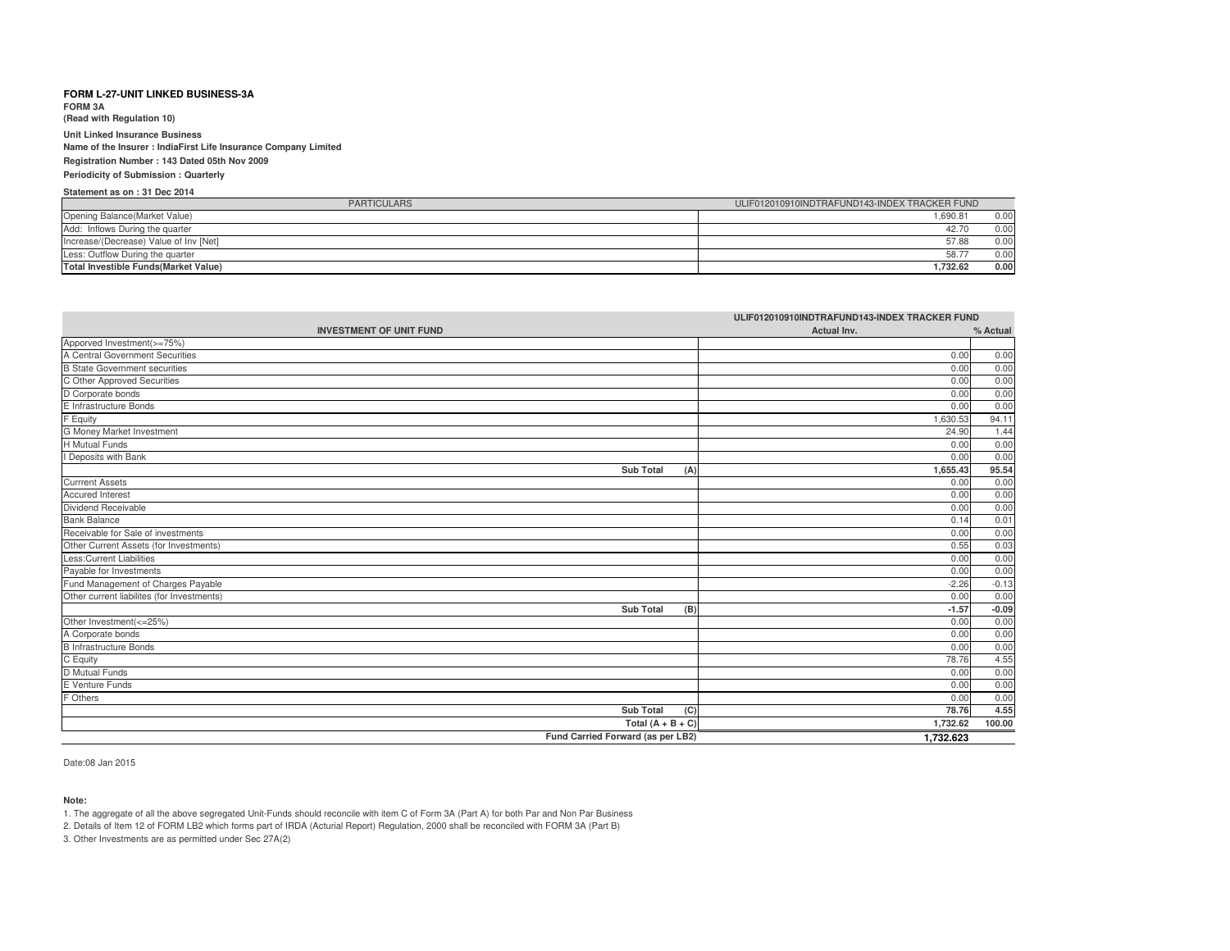**FORM 3A**

**(Read with Regulation 10)**

**Unit Linked Insurance Business Name of the Insurer : IndiaFirst Life Insurance Company LimitedRegistration Number : 143 Dated 05th Nov 2009**

**Periodicity of Submission : Quarterly**

### **Statement as on : 31 Dec 2014**

| <b>PARTICULARS</b>                           | ULIF012010910INDTRAFUND143-INDEX TRACKER FUND |  |
|----------------------------------------------|-----------------------------------------------|--|
| Opening Balance (Market Value)               | .690.81<br>0.00                               |  |
| Add: Inflows During the quarter              | 0.00<br>42.70                                 |  |
| Increase/(Decrease) Value of Inv [Net]       | 57.88<br>0.00                                 |  |
| Less: Outflow During the quarter             | 58.7<br>0.0(                                  |  |
| <b>Total Investible Funds (Market Value)</b> | 1.732.62<br>0.00                              |  |

| ULIF012010910INDTRAFUND143-INDEX TRACKER FUND      |             |          |
|----------------------------------------------------|-------------|----------|
| <b>INVESTMENT OF UNIT FUND</b>                     | Actual Inv. | % Actual |
| Apporved Investment(>=75%)                         |             |          |
| A Central Government Securities                    | 0.00        | 0.00     |
| <b>B State Government securities</b>               | 0.00        | 0.00     |
| C Other Approved Securities                        | 0.00        | 0.00     |
| D Corporate bonds                                  | 0.00        | 0.00     |
| E Infrastructure Bonds                             | 0.00        | 0.00     |
| F Equity                                           | 1,630.53    | 94.11    |
| <b>G Money Market Investment</b><br>H Mutual Funds | 24.90       | 1.44     |
|                                                    | 0.00        | 0.00     |
| I Deposits with Bank                               | 0.00        | 0.00     |
| <b>Sub Total</b><br>(A)                            | 1,655.43    | 95.54    |
| <b>Currrent Assets</b>                             | 0.00        | 0.00     |
| Accured Interest                                   | 0.00        | 0.00     |
| Dividend Receivable                                | 0.00        | 0.00     |
| <b>Bank Balance</b>                                | 0.14        | 0.01     |
| Receivable for Sale of investments                 | 0.00        | 0.00     |
| Other Current Assets (for Investments)             | 0.55        | 0.03     |
| <b>Less:Current Liabilities</b>                    | 0.00        | 0.00     |
| Payable for Investments                            | 0.00        | 0.00     |
| Fund Management of Charges Payable                 | $-2.26$     | $-0.13$  |
| Other current liabilites (for Investments)         | 0.00        | 0.00     |
| <b>Sub Total</b><br>(B)                            | $-1.57$     | $-0.09$  |
| Other Investment(<=25%)                            | 0.00        | 0.00     |
| A Corporate bonds                                  | 0.00        | 0.00     |
| <b>B</b> Infrastructure Bonds                      | 0.00        | 0.00     |
| C Equity                                           | 78.76       | 4.55     |
| D Mutual Funds                                     | 0.00        | 0.00     |
| E Venture Funds                                    | 0.00        | 0.00     |
| F Others                                           | 0.00        | 0.00     |
| <b>Sub Total</b><br>(C)                            | 78.76       | 4.55     |
| Total $(A + B + C)$                                | 1,732.62    | 100.00   |
| Fund Carried Forward (as per LB2)                  | 1.732.623   |          |

Date:08 Jan 2015

#### **Note:**

1. The aggregate of all the above segregated Unit-Funds should reconcile with item C of Form 3A (Part A) for both Par and Non Par Business

2. Details of Item 12 of FORM LB2 which forms part of IRDA (Acturial Report) Regulation, 2000 shall be reconciled with FORM 3A (Part B)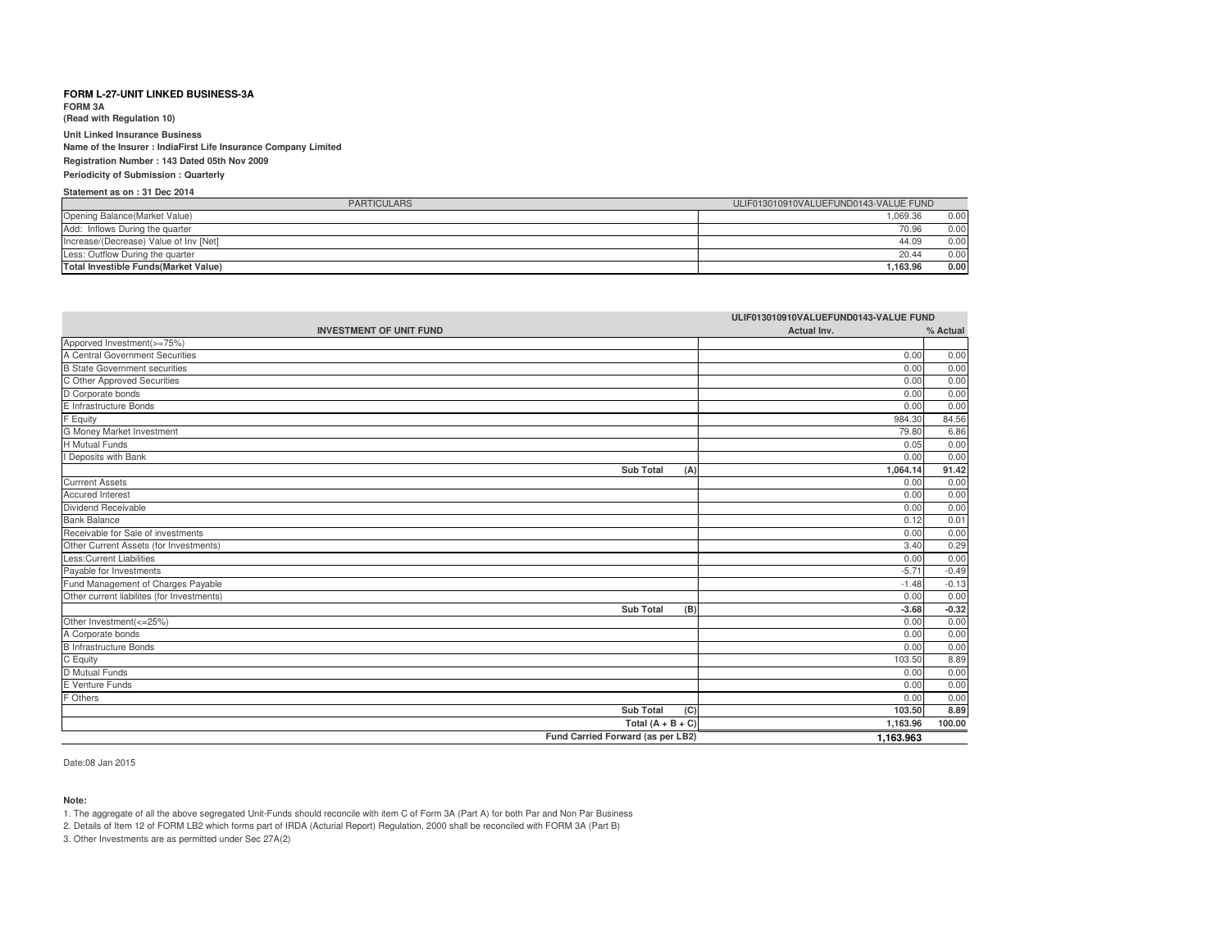**FORM 3A**

**(Read with Regulation 10)**

**Unit Linked Insurance Business Name of the Insurer : IndiaFirst Life Insurance Company LimitedRegistration Number : 143 Dated 05th Nov 2009Periodicity of Submission : Quarterly**

# **Statement as on : 31 Dec 2014**

| <b>PARTICULARS</b>                           | ULIF013010910VALUEFUND0143-VALUE FUND |  |
|----------------------------------------------|---------------------------------------|--|
| Opening Balance(Market Value)                | 1.069.36<br>0.00                      |  |
| Add: Inflows During the quarter              | 70.96<br>0.00                         |  |
| Increase/(Decrease) Value of Inv [Net]       | 0.00<br>44.09                         |  |
| Less: Outflow During the quarter             | 0.00<br>20.44                         |  |
| <b>Total Investible Funds (Market Value)</b> | 0.00<br>1.163.96                      |  |

| ULIF013010910VALUEFUND0143-VALUE FUND       |             |          |
|---------------------------------------------|-------------|----------|
| <b>INVESTMENT OF UNIT FUND</b>              | Actual Inv. | % Actual |
| Apporved Investment(>=75%)                  |             |          |
| A Central Government Securities             | 0.00        | 0.00     |
| <b>B</b> State Government securities        | 0.00        | 0.00     |
| C Other Approved Securities                 | 0.00        | 0.00     |
| D Corporate bonds                           | 0.00        | 0.00     |
| E Infrastructure Bonds                      | 0.00        | 0.00     |
| F Equity                                    | 984.30      | 84.56    |
| G Money Market Investment                   | 79.80       | 6.86     |
| <b>H</b> Mutual Funds                       | 0.05        | 0.00     |
| I Deposits with Bank                        | 0.00        | 0.00     |
| <b>Sub Total</b><br>(A)                     | 1,064.14    | 91.42    |
| <b>Currrent Assets</b>                      | 0.00        | 0.00     |
| Accured Interest                            | 0.00        | 0.00     |
| Dividend Receivable                         | 0.00        | 0.00     |
| <b>Bank Balance</b>                         | 0.12        | 0.01     |
| Receivable for Sale of investments          | 0.00        | 0.00     |
| Other Current Assets (for Investments)      | 3.40        | 0.29     |
| <b>Less:Current Liabilities</b>             | 0.00        | 0.00     |
| Payable for Investments                     | $-5.71$     | $-0.49$  |
| Fund Management of Charges Payable          | $-1.48$     | $-0.13$  |
| Other current liabilites (for Investments)  | 0.00        | 0.00     |
| <b>Sub Total</b><br>(B)                     | $-3.68$     | $-0.32$  |
| Other Investment(<=25%)                     | 0.00        | 0.00     |
| A Corporate bonds<br>B Infrastructure Bonds | 0.00        | 0.00     |
|                                             | 0.00        | 0.00     |
| C Equity                                    | 103.50      | 8.89     |
| D Mutual Funds                              | 0.00        | 0.00     |
| E Venture Funds                             | 0.00        | 0.00     |
| F Others                                    | 0.00        | 0.00     |
| <b>Sub Total</b><br>(C)                     | 103.50      | 8.89     |
| Total $(A + B + C)$                         | 1,163.96    | 100.00   |
| Fund Carried Forward (as per LB2)           | 1,163.963   |          |

Date:08 Jan 2015

**Note:**

1. The aggregate of all the above segregated Unit-Funds should reconcile with item C of Form 3A (Part A) for both Par and Non Par Business

2. Details of Item 12 of FORM LB2 which forms part of IRDA (Acturial Report) Regulation, 2000 shall be reconciled with FORM 3A (Part B)